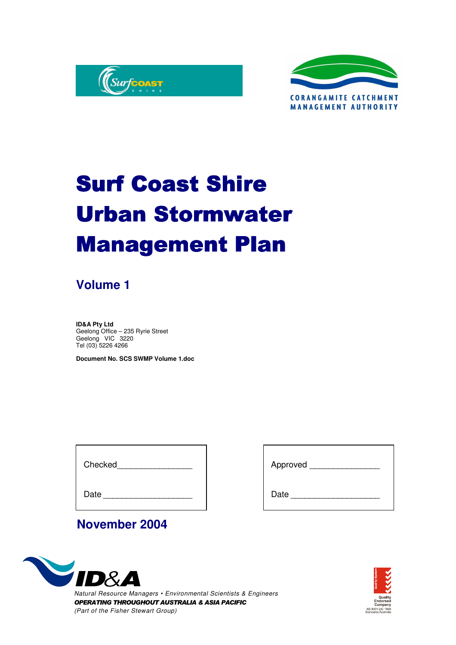



# **Surf Coast Shire Urban Stormwater Management Plan**

### **Volume 1**

**ID&A Pty Ltd** Geelong Office – 235 Ryrie Street Geelong VIC 3220 Tel (03) 5226 4266

**Document No. SCS SWMP Volume 1.doc**

Checked **and the control** 

Date

| Approved |  |  |  |
|----------|--|--|--|

Date

### **November 2004**



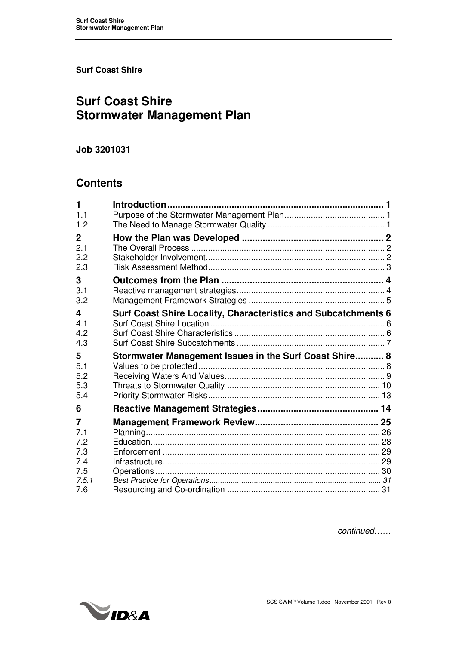**Surf Coast Shire**

### **Surf Coast Shire Stormwater Management Plan**

#### **Job 3201031**

### **Contents**

| 1<br>1.1<br>1.2                   |                                                                |  |
|-----------------------------------|----------------------------------------------------------------|--|
| $\mathbf{2}$<br>2.1<br>2.2<br>2.3 |                                                                |  |
| 3<br>3.1<br>3.2                   |                                                                |  |
| 4<br>4.1<br>4.2<br>4.3            | Surf Coast Shire Locality, Characteristics and Subcatchments 6 |  |
|                                   |                                                                |  |
| 5<br>5.1<br>5.2<br>5.3<br>5.4     | Stormwater Management Issues in the Surf Coast Shire 8         |  |
| 6                                 |                                                                |  |
| 7<br>7.1<br>7.2                   |                                                                |  |
| 7.3<br>7.4<br>7.5<br>7.5.1        |                                                                |  |

*continued……*

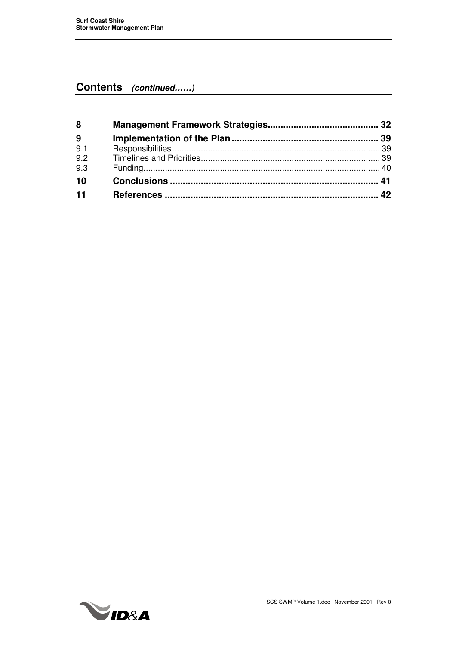### **Contents** *(continued……)*

| 8   |  |
|-----|--|
| 9   |  |
| 9.1 |  |
| 9.2 |  |
| 9.3 |  |
| 10  |  |
| 11  |  |

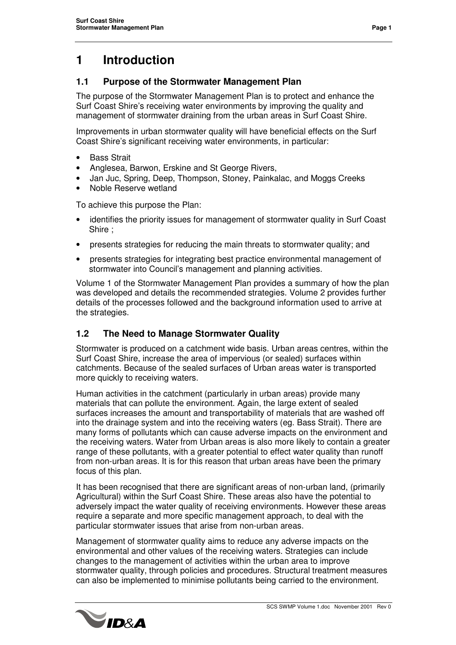### **1 Introduction**

#### **1.1 Purpose of the Stormwater Management Plan**

The purpose of the Stormwater Management Plan is to protect and enhance the Surf Coast Shire's receiving water environments by improving the quality and management of stormwater draining from the urban areas in Surf Coast Shire.

Improvements in urban stormwater quality will have beneficial effects on the Surf Coast Shire's significant receiving water environments, in particular:

- **Bass Strait**
- Anglesea, Barwon, Erskine and St George Rivers,
- Jan Juc, Spring, Deep, Thompson, Stoney, Painkalac, and Moggs Creeks
- Noble Reserve wetland

To achieve this purpose the Plan:

- identifies the priority issues for management of stormwater quality in Surf Coast Shire ;
- presents strategies for reducing the main threats to stormwater quality; and
- presents strategies for integrating best practice environmental management of stormwater into Council's management and planning activities.

Volume 1 of the Stormwater Management Plan provides a summary of how the plan was developed and details the recommended strategies. Volume 2 provides further details of the processes followed and the background information used to arrive at the strategies.

#### **1.2 The Need to Manage Stormwater Quality**

Stormwater is produced on a catchment wide basis. Urban areas centres, within the Surf Coast Shire, increase the area of impervious (or sealed) surfaces within catchments. Because of the sealed surfaces of Urban areas water is transported more quickly to receiving waters.

Human activities in the catchment (particularly in urban areas) provide many materials that can pollute the environment. Again, the large extent of sealed surfaces increases the amount and transportability of materials that are washed off into the drainage system and into the receiving waters (eg. Bass Strait). There are many forms of pollutants which can cause adverse impacts on the environment and the receiving waters. Water from Urban areas is also more likely to contain a greater range of these pollutants, with a greater potential to effect water quality than runoff from non-urban areas. It is for this reason that urban areas have been the primary focus of this plan.

It has been recognised that there are significant areas of non-urban land, (primarily Agricultural) within the Surf Coast Shire. These areas also have the potential to adversely impact the water quality of receiving environments. However these areas require a separate and more specific management approach, to deal with the particular stormwater issues that arise from non-urban areas.

Management of stormwater quality aims to reduce any adverse impacts on the environmental and other values of the receiving waters. Strategies can include changes to the management of activities within the urban area to improve stormwater quality, through policies and procedures. Structural treatment measures can also be implemented to minimise pollutants being carried to the environment.

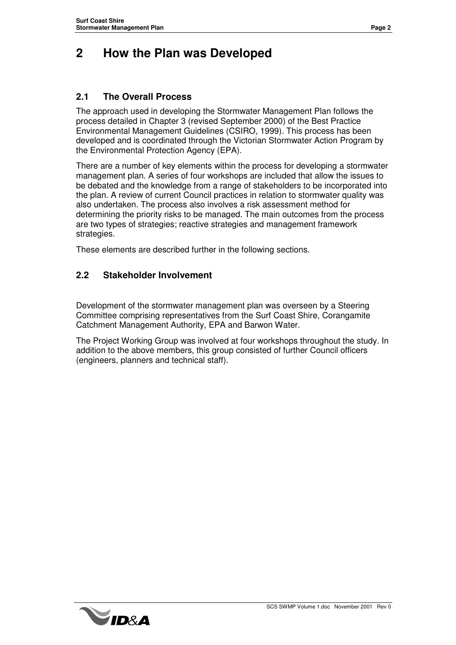### **2 How the Plan was Developed**

#### **2.1 The Overall Process**

The approach used in developing the Stormwater Management Plan follows the process detailed in Chapter 3 (revised September 2000) of the Best Practice Environmental Management Guidelines (CSIRO, 1999). This process has been developed and is coordinated through the Victorian Stormwater Action Program by the Environmental Protection Agency (EPA).

There are a number of key elements within the process for developing a stormwater management plan. A series of four workshops are included that allow the issues to be debated and the knowledge from a range of stakeholders to be incorporated into the plan. A review of current Council practices in relation to stormwater quality was also undertaken. The process also involves a risk assessment method for determining the priority risks to be managed. The main outcomes from the process are two types of strategies; reactive strategies and management framework strategies.

These elements are described further in the following sections.

#### **2.2 Stakeholder Involvement**

Development of the stormwater management plan was overseen by a Steering Committee comprising representatives from the Surf Coast Shire, Corangamite Catchment Management Authority, EPA and Barwon Water.

The Project Working Group was involved at four workshops throughout the study. In addition to the above members, this group consisted of further Council officers (engineers, planners and technical staff).

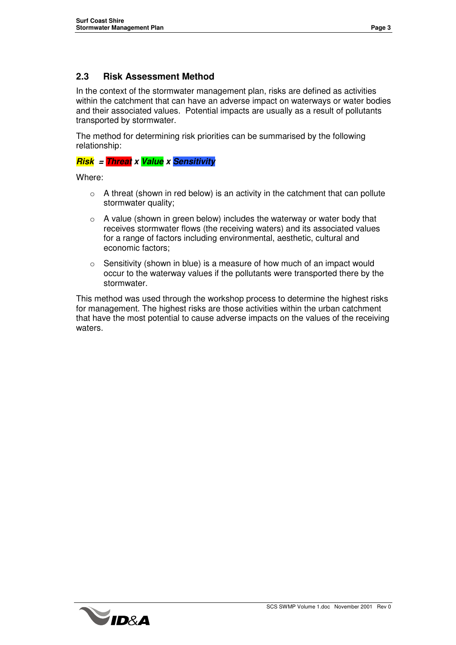#### **2.3 Risk Assessment Method**

In the context of the stormwater management plan, risks are defined as activities within the catchment that can have an adverse impact on waterways or water bodies and their associated values. Potential impacts are usually as a result of pollutants transported by stormwater.

The method for determining risk priorities can be summarised by the following relationship:

#### *Risk = Threat x Value x Sensitivity*

Where:

- $\circ$  A threat (shown in red below) is an activity in the catchment that can pollute stormwater quality;
- $\circ$  A value (shown in green below) includes the waterway or water body that receives stormwater flows (the receiving waters) and its associated values for a range of factors including environmental, aesthetic, cultural and economic factors;
- o Sensitivity (shown in blue) is a measure of how much of an impact would occur to the waterway values if the pollutants were transported there by the stormwater.

This method was used through the workshop process to determine the highest risks for management. The highest risks are those activities within the urban catchment that have the most potential to cause adverse impacts on the values of the receiving waters.

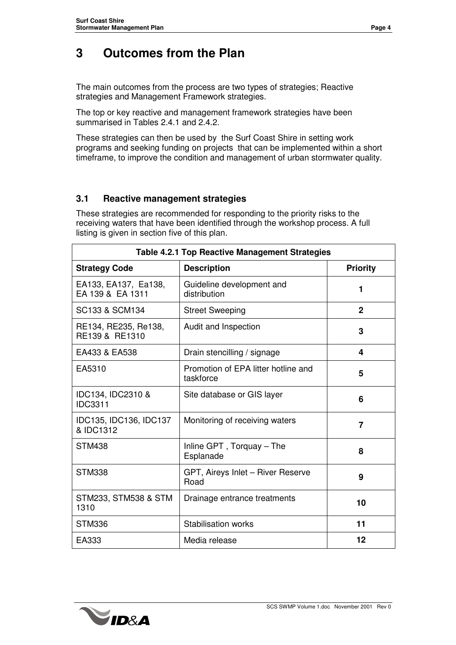The main outcomes from the process are two types of strategies; Reactive strategies and Management Framework strategies.

The top or key reactive and management framework strategies have been summarised in Tables 2.4.1 and 2.4.2.

These strategies can then be used by the Surf Coast Shire in setting work programs and seeking funding on projects that can be implemented within a short timeframe, to improve the condition and management of urban stormwater quality.

#### **3.1 Reactive management strategies**

These strategies are recommended for responding to the priority risks to the receiving waters that have been identified through the workshop process. A full listing is given in section five of this plan.

| <b>Table 4.2.1 Top Reactive Management Strategies</b> |                                                  |                 |  |  |  |  |
|-------------------------------------------------------|--------------------------------------------------|-----------------|--|--|--|--|
| <b>Strategy Code</b>                                  | <b>Description</b>                               | <b>Priority</b> |  |  |  |  |
| EA133, EA137, Ea138,<br>EA 139 & EA 1311              | Guideline development and<br>distribution        | 1               |  |  |  |  |
| SC133 & SCM134                                        | <b>Street Sweeping</b>                           | $\mathbf{2}$    |  |  |  |  |
| RE134, RE235, Re138,<br>RE139 & RE1310                | Audit and Inspection                             | 3               |  |  |  |  |
| EA433 & EA538                                         | Drain stencilling / signage                      | 4               |  |  |  |  |
| EA5310                                                | Promotion of EPA litter hotline and<br>taskforce | 5               |  |  |  |  |
| IDC134, IDC2310 &<br><b>IDC3311</b>                   | Site database or GIS layer                       | 6               |  |  |  |  |
| IDC135, IDC136, IDC137<br>& IDC1312                   | Monitoring of receiving waters                   | 7               |  |  |  |  |
| <b>STM438</b>                                         | Inline GPT, Torquay - The<br>Esplanade           | 8               |  |  |  |  |
| <b>STM338</b>                                         | GPT, Aireys Inlet - River Reserve<br>Road        | 9               |  |  |  |  |
| <b>STM233, STM538 &amp; STM</b><br>1310               | Drainage entrance treatments                     | 10              |  |  |  |  |
| <b>STM336</b>                                         | <b>Stabilisation works</b>                       | 11              |  |  |  |  |
| EA333                                                 | Media release                                    | 12              |  |  |  |  |

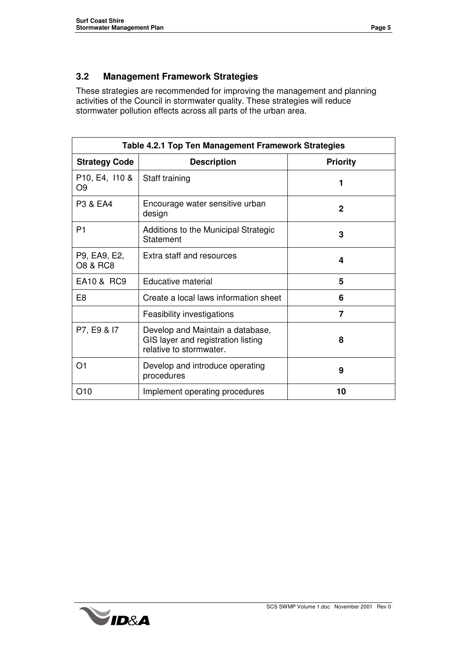#### **3.2 Management Framework Strategies**

These strategies are recommended for improving the management and planning activities of the Council in stormwater quality. These strategies will reduce stormwater pollution effects across all parts of the urban area.

| <b>Table 4.2.1 Top Ten Management Framework Strategies</b> |                                                                                                   |                 |  |  |  |  |  |
|------------------------------------------------------------|---------------------------------------------------------------------------------------------------|-----------------|--|--|--|--|--|
| <b>Strategy Code</b>                                       | <b>Description</b>                                                                                | <b>Priority</b> |  |  |  |  |  |
| P <sub>10</sub> , E <sub>4</sub> , 110 &<br>O9             | Staff training                                                                                    |                 |  |  |  |  |  |
| P3 & EA4                                                   | Encourage water sensitive urban<br>design                                                         | $\mathbf{2}$    |  |  |  |  |  |
| P <sub>1</sub>                                             | Additions to the Municipal Strategic<br>Statement                                                 | 3               |  |  |  |  |  |
| P9, EA9, E2,<br><b>O8 &amp; RC8</b>                        | Extra staff and resources                                                                         | 4               |  |  |  |  |  |
| EA10 & RC9                                                 | Educative material                                                                                | 5               |  |  |  |  |  |
| E <sub>8</sub>                                             | Create a local laws information sheet                                                             | 6               |  |  |  |  |  |
|                                                            | Feasibility investigations                                                                        | 7               |  |  |  |  |  |
| P7, E9 & I7                                                | Develop and Maintain a database,<br>GIS layer and registration listing<br>relative to stormwater. | 8               |  |  |  |  |  |
| O1                                                         | Develop and introduce operating<br>procedures                                                     | 9               |  |  |  |  |  |
| O10                                                        | Implement operating procedures                                                                    | 10              |  |  |  |  |  |

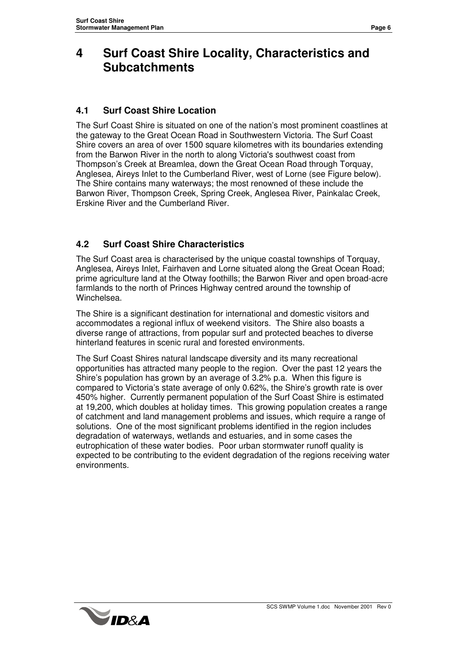### **4 Surf Coast Shire Locality, Characteristics and Subcatchments**

#### **4.1 Surf Coast Shire Location**

The Surf Coast Shire is situated on one of the nation's most prominent coastlines at the gateway to the Great Ocean Road in Southwestern Victoria. The Surf Coast Shire covers an area of over 1500 square kilometres with its boundaries extending from the Barwon River in the north to along Victoria's southwest coast from Thompson's Creek at Breamlea, down the Great Ocean Road through Torquay, Anglesea, Aireys Inlet to the Cumberland River, west of Lorne (see Figure below). The Shire contains many waterways; the most renowned of these include the Barwon River, Thompson Creek, Spring Creek, Anglesea River, Painkalac Creek, Erskine River and the Cumberland River.

#### **4.2 Surf Coast Shire Characteristics**

The Surf Coast area is characterised by the unique coastal townships of Torquay, Anglesea, Aireys Inlet, Fairhaven and Lorne situated along the Great Ocean Road; prime agriculture land at the Otway foothills; the Barwon River and open broad-acre farmlands to the north of Princes Highway centred around the township of Winchelsea.

The Shire is a significant destination for international and domestic visitors and accommodates a regional influx of weekend visitors. The Shire also boasts a diverse range of attractions, from popular surf and protected beaches to diverse hinterland features in scenic rural and forested environments.

The Surf Coast Shires natural landscape diversity and its many recreational opportunities has attracted many people to the region. Over the past 12 years the Shire's population has grown by an average of 3.2% p.a. When this figure is compared to Victoria's state average of only 0.62%, the Shire's growth rate is over 450% higher. Currently permanent population of the Surf Coast Shire is estimated at 19,200, which doubles at holiday times. This growing population creates a range of catchment and land management problems and issues, which require a range of solutions. One of the most significant problems identified in the region includes degradation of waterways, wetlands and estuaries, and in some cases the eutrophication of these water bodies. Poor urban stormwater runoff quality is expected to be contributing to the evident degradation of the regions receiving water environments.

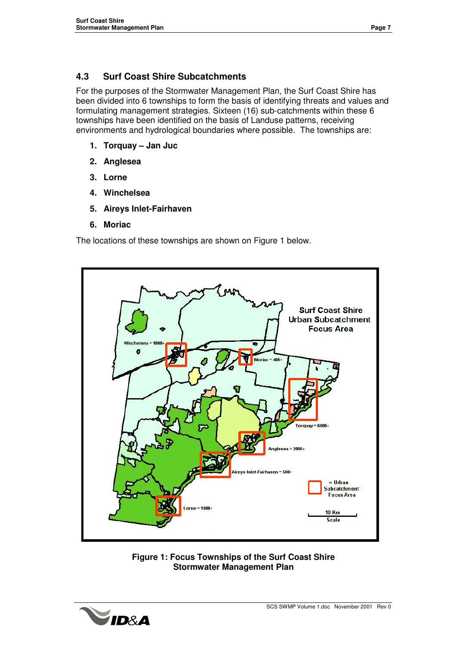#### **4.3 Surf Coast Shire Subcatchments**

For the purposes of the Stormwater Management Plan, the Surf Coast Shire has been divided into 6 townships to form the basis of identifying threats and values and formulating management strategies. Sixteen (16) sub-catchments within these 6 townships have been identified on the basis of Landuse patterns, receiving environments and hydrological boundaries where possible. The townships are:

- **1. Torquay – Jan Juc**
- **2. Anglesea**
- **3. Lorne**
- **4. Winchelsea**
- **5. Aireys Inlet-Fairhaven**
- **6. Moriac**

The locations of these townships are shown on Figure 1 below.





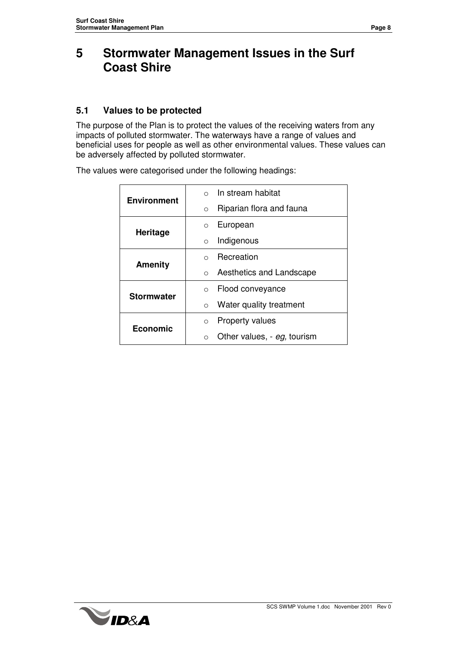### **5 Stormwater Management Issues in the Surf Coast Shire**

#### **5.1 Values to be protected**

The purpose of the Plan is to protect the values of the receiving waters from any impacts of polluted stormwater. The waterways have a range of values and beneficial uses for people as well as other environmental values. These values can be adversely affected by polluted stormwater.

| <b>Environment</b> | In stream habitat                    |
|--------------------|--------------------------------------|
|                    | Riparian flora and fauna<br>$\circ$  |
| Heritage           | European<br>$\Omega$                 |
|                    | Indigenous<br>$\Omega$               |
| <b>Amenity</b>     | Recreation<br>$\Omega$               |
|                    | Aesthetics and Landscape<br>$\Omega$ |
| <b>Stormwater</b>  | Flood conveyance<br>$\Omega$         |
|                    | Water quality treatment<br>$\circ$   |
| Economic           | Property values<br>$\circ$           |
|                    | Other values, - eg, tourism          |

The values were categorised under the following headings:

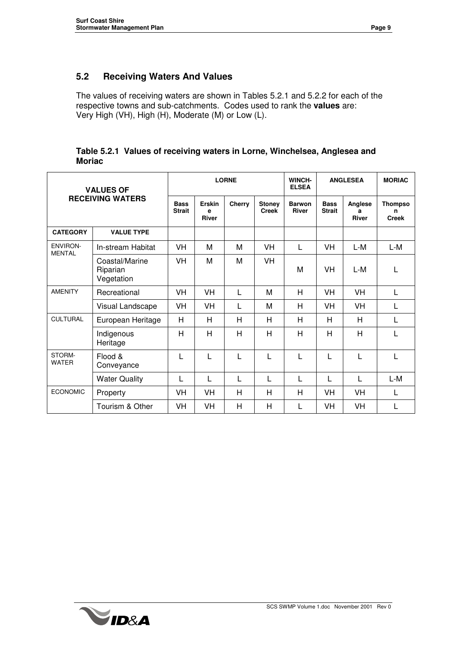#### **5.2 Receiving Waters And Values**

The values of receiving waters are shown in Tables 5.2.1 and 5.2.2 for each of the respective towns and sub-catchments. Codes used to rank the **values** are: Very High (VH), High (H), Moderate (M) or Low (L).

|               | Table 5.2.1 Values of receiving waters in Lorne, Winchelsea, Anglesea and |  |
|---------------|---------------------------------------------------------------------------|--|
| <b>Moriac</b> |                                                                           |  |

| <b>VALUES OF</b><br><b>RECEIVING WATERS</b> |                                          |                              |                             | <b>LORNE</b> |                               | WINCH-<br><b>ELSEA</b>        | <b>ANGLESEA</b>              |                              | <b>MORIAC</b>                       |
|---------------------------------------------|------------------------------------------|------------------------------|-----------------------------|--------------|-------------------------------|-------------------------------|------------------------------|------------------------------|-------------------------------------|
|                                             |                                          | <b>Bass</b><br><b>Strait</b> | Erskin<br>e<br><b>River</b> | Cherry       | <b>Stoney</b><br><b>Creek</b> | <b>Barwon</b><br><b>River</b> | <b>Bass</b><br><b>Strait</b> | Anglese<br>a<br><b>River</b> | <b>Thompso</b><br>n<br><b>Creek</b> |
| <b>CATEGORY</b>                             | <b>VALUE TYPE</b>                        |                              |                             |              |                               |                               |                              |                              |                                     |
| <b>ENVIRON-</b><br><b>MENTAL</b>            | In-stream Habitat                        | VH                           | M                           | М            | VH                            | L                             | VH                           | L-M                          | L-M                                 |
|                                             | Coastal/Marine<br>Riparian<br>Vegetation | VH                           | M                           | м            | VH                            | M                             | <b>VH</b>                    | L-M                          | L                                   |
| <b>AMENITY</b>                              | Recreational                             | VH                           | <b>VH</b>                   | L            | M                             | H                             | VH                           | VH                           | L                                   |
|                                             | Visual Landscape                         | VH                           | VH                          | L            | M                             | Н                             | <b>VH</b>                    | <b>VH</b>                    | L                                   |
| <b>CULTURAL</b>                             | European Heritage                        | H                            | H                           | H            | Н                             | Н                             | H                            | Н                            | L                                   |
|                                             | Indigenous<br>Heritage                   | H                            | H                           | H            | H                             | H                             | H                            | H                            | L                                   |
| STORM-<br><b>WATER</b>                      | Flood &<br>Conveyance                    | L                            | L                           | L            |                               | L                             | L                            | L                            | L                                   |
|                                             | <b>Water Quality</b>                     | L                            | L                           | L            | L                             | L                             | L                            | L                            | L-M                                 |
| <b>ECONOMIC</b>                             | Property                                 | VH                           | <b>VH</b>                   | H            | н                             | H                             | VH                           | VH                           | L                                   |
|                                             | Tourism & Other                          | VH                           | <b>VH</b>                   | H            | н                             | L                             | VH                           | <b>VH</b>                    | L                                   |

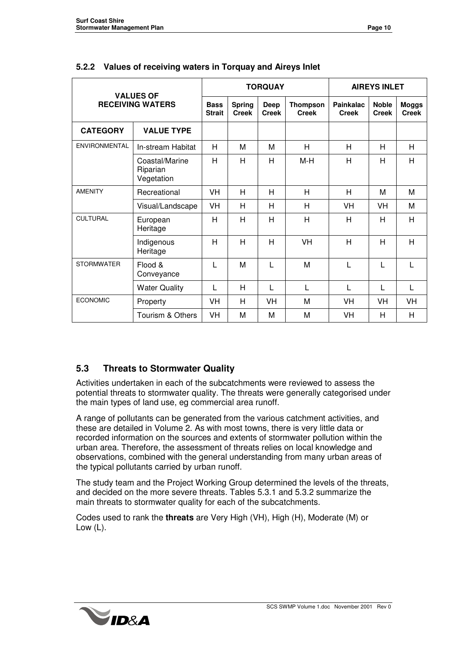| <b>VALUES OF</b>        |                                          |                               |                      | <b>TORQUAY</b>                  | <b>AIREYS INLET</b>       |                              |                              |    |
|-------------------------|------------------------------------------|-------------------------------|----------------------|---------------------------------|---------------------------|------------------------------|------------------------------|----|
| <b>RECEIVING WATERS</b> | <b>Bass</b><br><b>Strait</b>             | <b>Spring</b><br><b>Creek</b> | Deep<br><b>Creek</b> | <b>Thompson</b><br><b>Creek</b> | Painkalac<br><b>Creek</b> | <b>Noble</b><br><b>Creek</b> | <b>Moggs</b><br><b>Creek</b> |    |
| <b>CATEGORY</b>         | <b>VALUE TYPE</b>                        |                               |                      |                                 |                           |                              |                              |    |
| ENVIRONMENTAL           | In-stream Habitat                        | Н                             | М                    | М                               | Н                         | Н                            | Н                            | H  |
|                         | Coastal/Marine<br>Riparian<br>Vegetation | Н                             | H                    | H                               | M-H                       | Н                            | н                            | H  |
| <b>AMENITY</b>          | Recreational                             | <b>VH</b>                     | H                    | Н                               | H                         | H                            | M                            | M  |
|                         | Visual/Landscape                         | VH                            | H                    | H                               | H                         | VH                           | VH                           | M  |
| <b>CULTURAL</b>         | European<br>Heritage                     | Н                             | H                    | H                               | H                         | H                            | H                            | H  |
|                         | Indigenous<br>Heritage                   | Н                             | H                    | H                               | VH                        | H                            | H                            | H  |
| <b>STORMWATER</b>       | Flood &<br>Conveyance                    | L                             | M                    | L                               | M                         | L                            | L                            | L  |
|                         | <b>Water Quality</b>                     | L                             | H                    | L                               | L                         | L                            | L                            | L  |
| <b>ECONOMIC</b>         | Property                                 | <b>VH</b>                     | H                    | VH                              | м                         | <b>VH</b>                    | VH                           | VH |
|                         | Tourism & Others                         | VH                            | M                    | М                               | M                         | VH                           | H                            | H  |

#### **5.2.2 Values of receiving waters in Torquay and Aireys Inlet**

#### **5.3 Threats to Stormwater Quality**

Activities undertaken in each of the subcatchments were reviewed to assess the potential threats to stormwater quality. The threats were generally categorised under the main types of land use, eg commercial area runoff.

A range of pollutants can be generated from the various catchment activities, and these are detailed in Volume 2. As with most towns, there is very little data or recorded information on the sources and extents of stormwater pollution within the urban area. Therefore, the assessment of threats relies on local knowledge and observations, combined with the general understanding from many urban areas of the typical pollutants carried by urban runoff.

The study team and the Project Working Group determined the levels of the threats, and decided on the more severe threats. Tables 5.3.1 and 5.3.2 summarize the main threats to stormwater quality for each of the subcatchments.

Codes used to rank the **threats** are Very High (VH), High (H), Moderate (M) or Low (L).

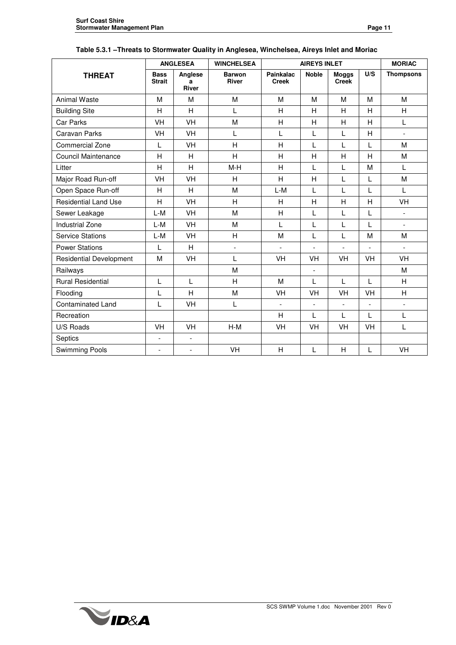|                                | <b>ANGLESEA</b>              |                              | <b>WINCHELSEA</b>             | <b>AIREYS INLET</b>       | <b>MORIAC</b>  |                              |                          |                          |
|--------------------------------|------------------------------|------------------------------|-------------------------------|---------------------------|----------------|------------------------------|--------------------------|--------------------------|
| <b>THREAT</b>                  | <b>Bass</b><br><b>Strait</b> | Anglese<br>a<br><b>River</b> | <b>Barwon</b><br><b>River</b> | Painkalac<br><b>Creek</b> | <b>Noble</b>   | <b>Moggs</b><br><b>Creek</b> | U/S                      | <b>Thompsons</b>         |
| <b>Animal Waste</b>            | M                            | M                            | M                             | M                         | M              | M                            | M                        | M                        |
| <b>Building Site</b>           | H                            | H                            | L                             | H                         | H              | H                            | H                        | H                        |
| Car Parks                      | VH                           | VH                           | M                             | H                         | Н              | H                            | H                        | L                        |
| <b>Caravan Parks</b>           | VH                           | VH                           | L                             | L                         | L              | L                            | H                        | $\overline{\phantom{0}}$ |
| <b>Commercial Zone</b>         | L                            | VH                           | H                             | H                         | L              | L                            | L                        | M                        |
| Council Maintenance            | H                            | H                            | $\overline{H}$                | H                         | H              | H                            | H                        | M                        |
| Litter                         | H                            | H                            | $M-H$                         | H                         | L              | L                            | M                        | L                        |
| Major Road Run-off             | VH                           | VH                           | H                             | H                         | $\overline{H}$ | L                            | L                        | M                        |
| Open Space Run-off             | H                            | H                            | M                             | L-M                       | L              | L                            | L                        | L                        |
| <b>Residential Land Use</b>    | Н                            | VH                           | Н                             | Н                         | Н              | H                            | H                        | VH                       |
| Sewer Leakage                  | $L-M$                        | VH                           | M                             | H                         | L              | L                            | L                        | $\overline{\phantom{0}}$ |
| <b>Industrial Zone</b>         | L-M                          | VH                           | M                             | Г                         | L              | L                            | L                        | $\overline{\phantom{0}}$ |
| <b>Service Stations</b>        | $L-M$                        | VH                           | H                             | M                         | L              | L                            | M                        | M                        |
| <b>Power Stations</b>          | L                            | H                            | $\blacksquare$                | $\overline{a}$            | $\blacksquare$ |                              | $\overline{\phantom{a}}$ |                          |
| <b>Residential Development</b> | M                            | VH                           | L                             | VH                        | VH             | VH                           | VH                       | VH                       |
| Railways                       |                              |                              | M                             |                           | $\blacksquare$ |                              |                          | M                        |
| <b>Rural Residential</b>       | L                            | L                            | H                             | M                         | L              | L                            | L                        | H                        |
| Flooding                       | L                            | H                            | M                             | VH                        | VH             | VH                           | VH                       | H                        |
| <b>Contaminated Land</b>       | L                            | VH                           | L                             |                           | $\blacksquare$ |                              | $\overline{\phantom{a}}$ | $\overline{a}$           |
| Recreation                     |                              |                              |                               | Н                         | L              | L                            | L                        | L                        |
| U/S Roads                      | VH                           | VH                           | $H-M$                         | VH                        | <b>VH</b>      | <b>VH</b>                    | <b>VH</b>                | L                        |
| Septics                        | $\overline{a}$               | $\overline{\phantom{a}}$     |                               |                           |                |                              |                          |                          |
| <b>Swimming Pools</b>          | $\overline{\phantom{0}}$     | $\blacksquare$               | VH                            | H                         | L              | H                            | L                        | VH                       |

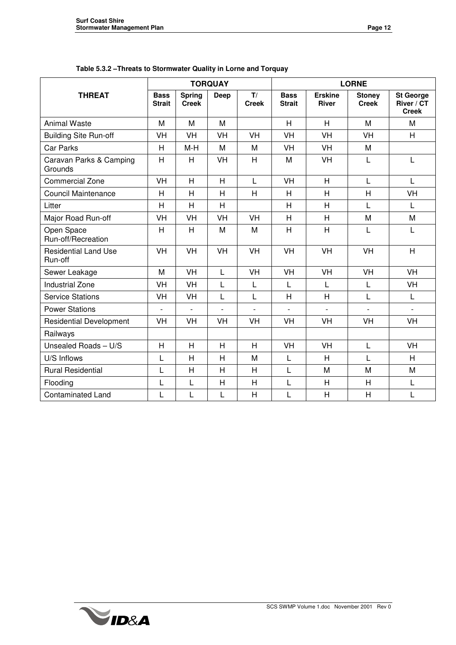|                                        |                              |                               | <b>TORQUAY</b> |                    | <b>LORNE</b>                 |                                |                               |                                                |
|----------------------------------------|------------------------------|-------------------------------|----------------|--------------------|------------------------------|--------------------------------|-------------------------------|------------------------------------------------|
| <b>THREAT</b>                          | <b>Bass</b><br><b>Strait</b> | <b>Spring</b><br><b>Creek</b> | Deep           | T/<br><b>Creek</b> | <b>Bass</b><br><b>Strait</b> | <b>Erskine</b><br><b>River</b> | <b>Stoney</b><br><b>Creek</b> | <b>St George</b><br>River / CT<br><b>Creek</b> |
| <b>Animal Waste</b>                    | M                            | M                             | M              |                    | H                            | H                              | M                             | M                                              |
| <b>Building Site Run-off</b>           | VH                           | <b>VH</b>                     | <b>VH</b>      | <b>VH</b>          | <b>VH</b>                    | VH                             | <b>VH</b>                     | H                                              |
| <b>Car Parks</b>                       | H                            | $M-H$                         | M              | M                  | <b>VH</b>                    | VH                             | M                             |                                                |
| Caravan Parks & Camping<br>Grounds     | H                            | H                             | VH             | H                  | M                            | VH                             | L                             | L                                              |
| <b>Commercial Zone</b>                 | <b>VH</b>                    | H                             | H              | $\mathsf{L}$       | <b>VH</b>                    | H                              | $\mathsf{L}$                  | L                                              |
| <b>Council Maintenance</b>             | H                            | H                             | H              | H                  | H                            | H                              | H                             | VH                                             |
| Litter                                 | H                            | H                             | H              |                    | H                            | H                              | L                             | L                                              |
| Major Road Run-off                     | <b>VH</b>                    | VH                            | <b>VH</b>      | <b>VH</b>          | H                            | H                              | M                             | M                                              |
| Open Space<br>Run-off/Recreation       | H                            | H                             | M              | M                  | H                            | H                              | L                             | L                                              |
| <b>Residential Land Use</b><br>Run-off | VH                           | VH                            | VH             | VH                 | VH                           | VH                             | VH                            | H                                              |
| Sewer Leakage                          | M                            | <b>VH</b>                     | L              | <b>VH</b>          | <b>VH</b>                    | VH                             | VH                            | <b>VH</b>                                      |
| <b>Industrial Zone</b>                 | VH                           | VH                            | $\mathsf L$    | L                  | L                            | Г                              | L                             | VH                                             |
| <b>Service Stations</b>                | VH                           | VH                            | $\mathsf{L}$   | L                  | H                            | H                              | L                             | L                                              |
| <b>Power Stations</b>                  | $\overline{a}$               | $\overline{a}$                | $\overline{a}$ | $\overline{a}$     | $\overline{a}$               | $\overline{a}$                 |                               | $\overline{a}$                                 |
| <b>Residential Development</b>         | VH                           | VH                            | VH             | VH                 | VH                           | VH                             | VH                            | VH                                             |
| Railways                               |                              |                               |                |                    |                              |                                |                               |                                                |
| Unsealed Roads - U/S                   | H                            | H                             | H              | H                  | <b>VH</b>                    | VH                             | L                             | VH                                             |
| U/S Inflows                            | $\mathsf{L}$                 | $\overline{H}$                | $\overline{H}$ | M                  | L                            | H                              | L                             | H                                              |
| <b>Rural Residential</b>               | L                            | H                             | H              | H                  | L                            | M                              | M                             | M                                              |
| Flooding                               | L                            | L                             | $\overline{H}$ | H                  | L                            | H                              | H                             | L                                              |
| <b>Contaminated Land</b>               | L                            | L                             | L              | H                  | L                            | Η                              | H                             | L                                              |

**Table 5.3.2 –Threats to Stormwater Quality in Lorne and Torquay**

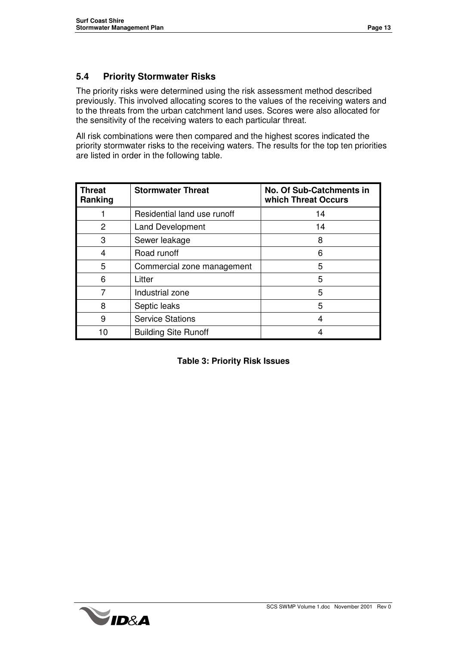#### **5.4 Priority Stormwater Risks**

The priority risks were determined using the risk assessment method described previously. This involved allocating scores to the values of the receiving waters and to the threats from the urban catchment land uses. Scores were also allocated for the sensitivity of the receiving waters to each particular threat.

All risk combinations were then compared and the highest scores indicated the priority stormwater risks to the receiving waters. The results for the top ten priorities are listed in order in the following table.

| <b>Threat</b><br>Ranking | <b>Stormwater Threat</b>    | No. Of Sub-Catchments in<br>which Threat Occurs |
|--------------------------|-----------------------------|-------------------------------------------------|
|                          | Residential land use runoff | 14                                              |
| 2                        | <b>Land Development</b>     | 14                                              |
| 3                        | Sewer leakage               | 8                                               |
| 4                        | Road runoff                 | 6                                               |
| 5                        | Commercial zone management  | 5                                               |
| 6                        | Litter                      | 5                                               |
|                          | Industrial zone             | 5                                               |
| 8                        | Septic leaks                | 5                                               |
| 9                        | <b>Service Stations</b>     |                                                 |
| 10                       | <b>Building Site Runoff</b> |                                                 |

|  |  | <b>Table 3: Priority Risk Issues</b> |
|--|--|--------------------------------------|
|  |  |                                      |

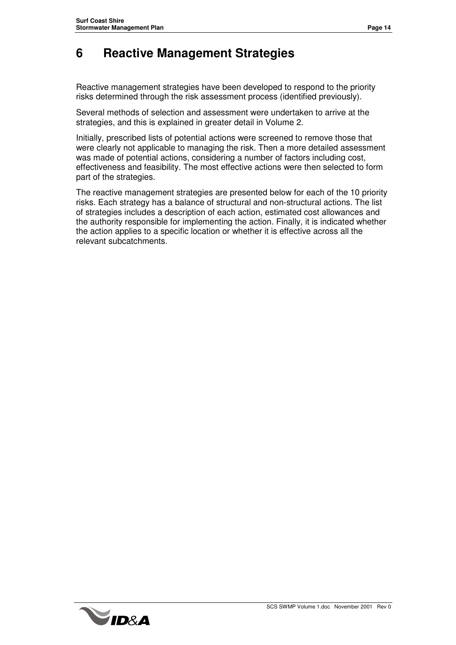### **6 Reactive Management Strategies**

Reactive management strategies have been developed to respond to the priority risks determined through the risk assessment process (identified previously).

Several methods of selection and assessment were undertaken to arrive at the strategies, and this is explained in greater detail in Volume 2.

Initially, prescribed lists of potential actions were screened to remove those that were clearly not applicable to managing the risk. Then a more detailed assessment was made of potential actions, considering a number of factors including cost, effectiveness and feasibility. The most effective actions were then selected to form part of the strategies.

The reactive management strategies are presented below for each of the 10 priority risks. Each strategy has a balance of structural and non-structural actions. The list of strategies includes a description of each action, estimated cost allowances and the authority responsible for implementing the action. Finally, it is indicated whether the action applies to a specific location or whether it is effective across all the relevant subcatchments.

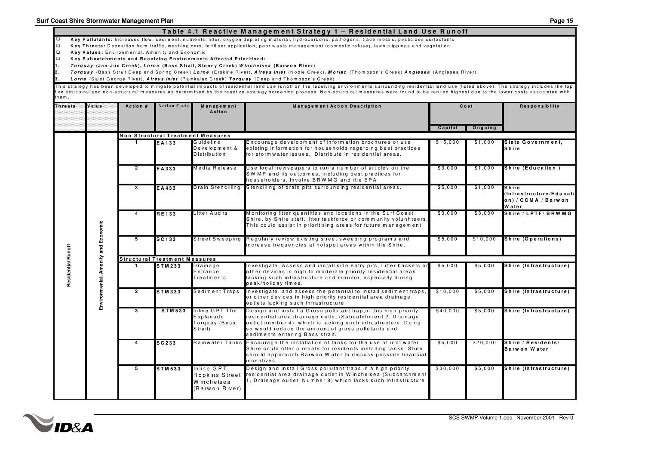| Table 4.1 Reactive Management Strategy 1 – Residential Land Use Runoff |  |
|------------------------------------------------------------------------|--|
|------------------------------------------------------------------------|--|

□ Key Pollutants: Increased flow, sediment, nutrients, litter, oxygen depleting material, hydrocarbons, pathogens, trace metals, pesticides surfactants

 $\Box$ Key Threats: Deposition from traffic, washing cars, fertiliser application, poor waste management (domestic refuse), lawn clippings and vegetation.

 $\Box$ **K <sup>e</sup> y V <sup>a</sup> lu <sup>e</sup> <sup>s</sup> :** E <sup>n</sup> <sup>v</sup> iro <sup>n</sup> <sup>m</sup> <sup>e</sup> <sup>n</sup> ta l, A <sup>m</sup> <sup>e</sup> <sup>n</sup> ity <sup>a</sup> <sup>n</sup> d E <sup>c</sup> <sup>o</sup> <sup>n</sup> <sup>o</sup> <sup>m</sup> ic

 $\Box$ Key Subcatchments and Receiving Environments Affected Prioritised:

**1**1. *Torquay* (Jan-Juc Creek), L*orne* (Bass Strait, Stoney Creek) *Winchelsea* (Barwon River)

**2 .** *T*Torquay (Bass Strait Deep and Spring Creek) Lorne (Erskine River), Aireys Inlet (Noble Creek), Moriac (Thompson's Creek) Anglesea (Anglesea River)

**33.** *Lorne* **(S**aint George River), *Aireys Inlet* **(P**ainkalac Creek) **Torquay (**Deep and Thompson's Creek)

This strategy has been developed to mitigate potential impacts of residential land use runoff on the receiving environments surrounding residential land use (listed above). The strategy includes the top five structural and non-structural measures as determined by the reactive strategy screening process. Non-structural measures were found to be ranked highest due to the lower costs associated with th e m .

| <b>Threats</b>            | Value                               | Action #                | <b>Action Code</b>                   | Management<br>Action                                        | <b>Management Action Description</b>                                                                                                                                                                                                                                                    |          | Cost     | Responsibility                                                   |
|---------------------------|-------------------------------------|-------------------------|--------------------------------------|-------------------------------------------------------------|-----------------------------------------------------------------------------------------------------------------------------------------------------------------------------------------------------------------------------------------------------------------------------------------|----------|----------|------------------------------------------------------------------|
|                           |                                     |                         |                                      |                                                             |                                                                                                                                                                                                                                                                                         | Capital  | Ongoing  |                                                                  |
|                           |                                     |                         |                                      | Non Structural Treatment Measures                           |                                                                                                                                                                                                                                                                                         |          |          |                                                                  |
|                           |                                     |                         | EA133                                | Guideline<br>Development &<br>Distribution                  | Encourage development of information brochures or use<br>existing information for households regarding best practices<br>for storm water issues. Distribute in residential areas.                                                                                                       | \$15,000 | \$1,000  | State Government,<br>Shire                                       |
|                           |                                     | $\overline{2}$          | EA333                                | Media Release                                               | Use local newspapers to run a number of articles on the<br>SWMP and its outcomes, including best practices for<br>householders. Involve BRW MG and the EPA                                                                                                                              | \$3,000  | \$1,000  | Shire (Education)                                                |
|                           |                                     | 3                       | EA433                                |                                                             | Drain Stencilling Stencilling of drain pits surrounding residential areas.                                                                                                                                                                                                              | \$5,000  | \$1,000  | Shire<br>(Infrastructure/Educati<br>on) / CCMA / Barwon<br>Water |
| <b>Residential Runoff</b> |                                     | 4                       | <b>RE133</b>                         | Litter Audits                                               | Monitoring litter quantities and locations in the Surf Coast<br>Shire, by Shire staff, litter taskforce or community volunhteers.<br>This could assist in prioritising areas for future management.                                                                                     | \$3,000  | \$3,000  | Shire / LPTF/ BRW MG                                             |
|                           |                                     | 5                       | SC133                                |                                                             | Street Sweeping Regularly review existing street sweeping programs and<br>increase frequencies at hotspot areas within the Shire.                                                                                                                                                       | \$5,000  | \$10,000 | Shire (Operations)                                               |
|                           |                                     |                         | <b>Structural Treatment Measures</b> |                                                             |                                                                                                                                                                                                                                                                                         |          |          |                                                                  |
|                           | Environmental, Amenity and Economic | $\mathbf{1}$            | <b>STM233</b>                        | Drainage<br>Entrance<br>Treatments                          | Investigate, Assess and install side entry pits, Litter baskets or<br>other devices in high to moderate priority residential areas<br>lacking such infrastructure and monitor, especially during<br>peak/holiday times.                                                                 | \$5,000  | \$5,000  | Shire (Infrastructure)                                           |
|                           |                                     | $\mathbf{2}$            | <b>STM333</b>                        | Sediment Traps                                              | Investigate, and assess the potential to install sediment traps,<br>or other devices in high priority residential area drainage<br>outlets lacking such infrastructure                                                                                                                  | \$10,000 | \$5,000  | Shire (Infrastructure)                                           |
|                           |                                     | $\overline{\mathbf{3}}$ | <b>STM533</b>                        | Inline GPT The<br>Esplanade<br>Torquay (Bass<br>Strait)     | Design and install a Gross pollutant trap, in this high priority<br>residential area drainage outlet (Subcatchment 2, Drainage<br>outlet number 4) which is lacking such infrastructure. Doing<br>so would reduce the amount of gross pollutants and<br>sediments entering Bass strait. | \$40,000 | \$5,000  | Shire (Infrastructure)                                           |
|                           |                                     | Δ                       | SC 233                               |                                                             | Rainwater Tanks Encourage the installation of tanks for the use of roof water.<br>Shire could offer a rebate for residents installing tanks. Shire<br>should apporoach Barwon Water to discuss possible financial<br>incentives.                                                        | \$5,000  | \$20,000 | Shire / Residents/<br>Barwon Water                               |
|                           |                                     | 5                       | <b>STM533</b>                        | Inline GPT<br>Hopkins Street<br>Winchelsea<br>Barwon River) | Design and install Gross pollutant traps in a high priority<br>residential area drainage outlet in Winchelsea (Subcatchment<br>1, Drainage outlet, Number 8) which lacks such infrastructure                                                                                            | \$30,000 | \$5,000  | Shire (Infrastructure)                                           |

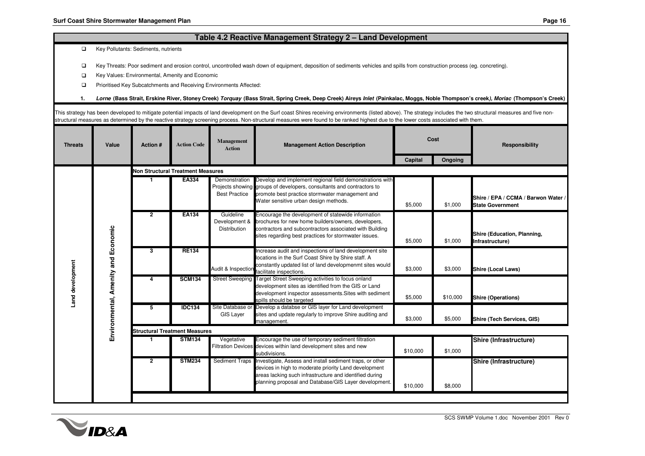#### **Table 4.2 Reactive Management Strategy 2 – Land Development**

 $\Box$ Key Pollutants: Sediments, nutrients

 $\Box$ Key Threats: Poor sediment and erosion control, uncontrolled wash down of equipment, deposition of sediments vehicles and spills from construction process (eg. concreting).

 $\Box$ Key Values: Environmental, Amenity and Economic

 $\Box$ Prioritised Key Subcatchments and Receiving Environments Affected:

**1.**. Lorne (Bass Strait, Erskine River, Stoney Creek) *Torquay* (Bass Strait, Spring Creek, Deep Creek) Aireys Inlet (Painkalac, Moggs, Noble Thompson's creek), *Moriac* (Thompson's Creek)

structural measures as determined by the reactive strategy screening process. Non-structural measures were found to be ranked highest due to the lower costs associated with them.

| <b>Threats</b>                                          | Value | Action #                                 | <b>Action Code</b> | Management<br><b>Action</b>                | <b>Management Action Description</b>                                                                                                                                                                                                                 |          | Cost     | <b>Responsibility</b>                                          |  |  |
|---------------------------------------------------------|-------|------------------------------------------|--------------------|--------------------------------------------|------------------------------------------------------------------------------------------------------------------------------------------------------------------------------------------------------------------------------------------------------|----------|----------|----------------------------------------------------------------|--|--|
|                                                         |       |                                          |                    |                                            |                                                                                                                                                                                                                                                      | Capital  | Ongoing  |                                                                |  |  |
|                                                         |       | <b>Non Structural Treatment Measures</b> |                    |                                            |                                                                                                                                                                                                                                                      |          |          |                                                                |  |  |
|                                                         |       |                                          | EA334              | Demonstration<br><b>Best Practice</b>      | Develop and implement regional field demonstrations with<br>Projects showing groups of developers, consultants and contractors to<br>promote best practice stormwater management and<br>Water sensitive urban design methods.                        | \$5,000  | \$1,000  | Shire / EPA / CCMA / Barwon Water /<br><b>State Government</b> |  |  |
| Environmental, Amenity and Economic<br>Land development |       | $\overline{2}$                           | <b>EA134</b>       | Guideline<br>Development &<br>Distribution | Encourage the development of statewide information<br>brochures for new home builders/owners, developers,<br>contractors and subcontractors associated with Building<br>sites regarding best practices for stormwater issues.                        | \$5,000  | \$1,000  | Shire (Education, Planning,<br>Infrastructure)                 |  |  |
|                                                         |       | 3                                        | <b>RE134</b>       | Audit & Inspection                         | Increase audit and inspections of land development site<br>locations in the Surf Coast Shire by Shire staff. A<br>constantly updated list of land developmenmt sites would<br>facilitate inspections.                                                | \$3,000  | \$3,000  | <b>Shire (Local Laws)</b>                                      |  |  |
|                                                         |       |                                          | <b>SCM134</b>      | <b>Street Sweeping</b>                     | Target Street Sweeping activities to focus onland<br>development sites as identified from the GIS or Land<br>development inspector assessments. Sites with sediment<br>spills should be targeted                                                     | \$5,000  | \$10,000 | <b>Shire (Operations)</b>                                      |  |  |
|                                                         |       | 5                                        | <b>IDC134</b>      | Site Database or<br><b>GIS Layer</b>       | Develop a databse or GIS layer for Land development<br>sites and update regularly to improve Shire auditing and<br>management.                                                                                                                       | \$3,000  | \$5,000  | Shire (Tech Services, GIS)                                     |  |  |
|                                                         |       | <b>Structural Treatment Measures</b>     |                    |                                            |                                                                                                                                                                                                                                                      |          |          |                                                                |  |  |
|                                                         |       |                                          | <b>STM134</b>      | Vegetative                                 | Encourage the use of temporary sediment filtration<br>Filtration Devices devices within land development sites and new<br>subdivisions.                                                                                                              | \$10,000 | \$1,000  | Shire (Infrastructure)                                         |  |  |
|                                                         |       | $\mathbf{2}$                             | <b>STM234</b>      |                                            | Sediment Traps Investigate, Assess and install sediment traps, or other<br>devices in high to moderate priority Land development<br>areas lacking such infrastructure and identified during<br>planning proposal and Database/GIS Layer development. | \$10,000 | \$8,000  | Shire (Infrastructure)                                         |  |  |

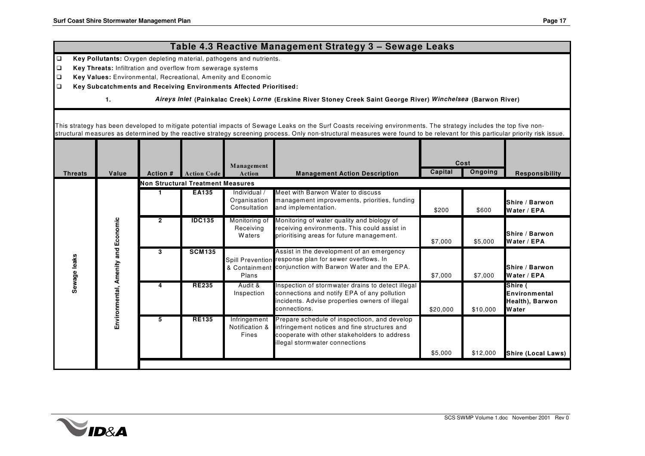#### **Capital Ongoing 1 EA135** Individual / Organisation **Consultation** Meet with Barwon Water to discuss management improvements, priorities, funding and implementation. \$200 \$600 **Shire / BarwonWater / EPA2 IDC135** Monitoring of Receiving W aters Monitoring of water quality and biology of receiving environments. This could assist in prioritising areas for future management. \$7,000 \$5,000 **Shire / Barwon Water / EPA 3 SCM135** Spill Prevention & Containment conjunction with Barwon Water and the EPA. PlansAssist in the development of an emergency response plan for sewer overflows. In \$7,000 \$7,000 **Shire / BarwonWater / EPA4 RE235** Audit & Inspection Inspection of stormwater drains to detect illegal connections and notify EPA of any pollution incidents. Advise properties owners of illegal connections.\$20,000 \$10,000 **Shire ( EnvironmentalHealth), Barwon Water5 RE135** Infringement Notification &FinesPrepare schedule of inspectioon, and develop infringement notices and fine structures and cooperate with other stakeholders to address illegal stormwater connections \$5,000 \$12,000 **Shire (Local Laws) Se w a g e l ea k s Env i r o n me n t a l , A me n i t ya n d E c o n o mi cNon Structural Treatment Measures** This strategy has been developed to mitigate potential impacts of Sewage Leaks on the Surf Coasts receiving environments. The strategy includes the top five nonstructural measures as determined by the reactive strategy screening process. Only non-structural measures were found to be relevant for this particular priority risk issue. **Threats Value Action # Management Action Description Management Action Code Action CostResponsibility**  $\Box$  **Key Subcatchments and Receiving Environments Affected Prioritised: 1.** *Aireys Inlet* **(Painkalac Creek)** *Lorne* **(Erskine River Stoney Creek Saint George River)** *Winchelsea* **(Barwon River) Table 4.3 Reactive Management Strategy 3 – Sewage Leaks**  $\Box$  **Key Pollutants:** Oxygen depleting material, pathogens and nutrients.  $\Box$  **Key Threats:** Infiltration and overflow from sewerage systems  $\Box$ **Key Values:** Environmental, Recreational, Amenity and Economic

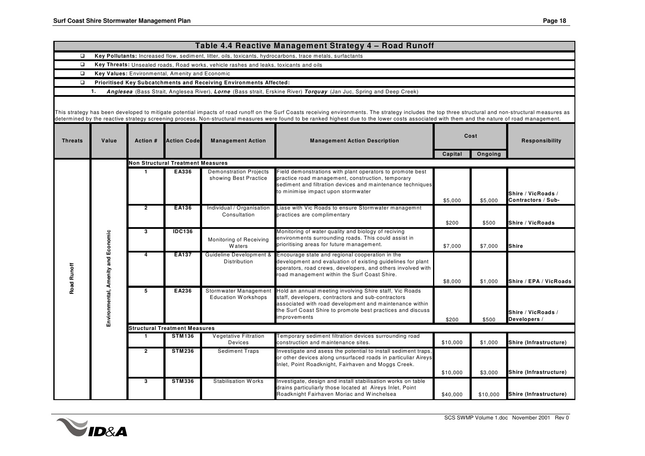|                                                    |       |                 |                                                                    |                                                                                                                                                                                                                              | Table 4.4 Reactive Management Strategy 4 - Road Runoff                                                                                                                                                                                                                                                                                                                                                  |          |                        |                                          |  |  |  |
|----------------------------------------------------|-------|-----------------|--------------------------------------------------------------------|------------------------------------------------------------------------------------------------------------------------------------------------------------------------------------------------------------------------------|---------------------------------------------------------------------------------------------------------------------------------------------------------------------------------------------------------------------------------------------------------------------------------------------------------------------------------------------------------------------------------------------------------|----------|------------------------|------------------------------------------|--|--|--|
| $\Box$                                             |       |                 |                                                                    |                                                                                                                                                                                                                              | Key Pollutants: Increased flow, sediment, litter, oils, toxicants, hydrocarbons, trace metals, surfactants                                                                                                                                                                                                                                                                                              |          |                        |                                          |  |  |  |
| $\Box$                                             |       |                 |                                                                    | Key Threats: Unsealed roads, Road works, vehicle rashes and leaks, toxicants and oils                                                                                                                                        |                                                                                                                                                                                                                                                                                                                                                                                                         |          |                        |                                          |  |  |  |
| $\Box$                                             |       |                 | Key Values: Environmental, Amenity and Economic                    |                                                                                                                                                                                                                              |                                                                                                                                                                                                                                                                                                                                                                                                         |          |                        |                                          |  |  |  |
| $\Box$                                             |       |                 | Prioritised Key Subcatchments and Receiving Environments Affected: |                                                                                                                                                                                                                              |                                                                                                                                                                                                                                                                                                                                                                                                         |          |                        |                                          |  |  |  |
|                                                    | 1.    |                 |                                                                    |                                                                                                                                                                                                                              | Anglesea (Bass Strait, Anglesea River), Lorne (Bass strait, Erskine River) Torquay (Jan Juc, Spring and Deep Creek)                                                                                                                                                                                                                                                                                     |          |                        |                                          |  |  |  |
|                                                    |       |                 |                                                                    |                                                                                                                                                                                                                              | This strategy has been developed to mitigate potential impacts of road runoff on the Surf Coasts receiving environments. The strategy includes the top three structural and non-structural measures as<br>determined by the reactive strategy screening process. Non-structural measures were found to be ranked highest due to the lower costs associated with them and the nature of road management. |          |                        |                                          |  |  |  |
| <b>Threats</b>                                     | Value | <b>Action #</b> | <b>Action Code</b>                                                 | <b>Management Action</b>                                                                                                                                                                                                     | <b>Management Action Description</b>                                                                                                                                                                                                                                                                                                                                                                    |          | Cost                   | <b>Responsibility</b>                    |  |  |  |
|                                                    |       |                 |                                                                    |                                                                                                                                                                                                                              |                                                                                                                                                                                                                                                                                                                                                                                                         | Capital  | Ongoing                |                                          |  |  |  |
|                                                    |       |                 | <b>Non Structural Treatment Measures</b>                           |                                                                                                                                                                                                                              |                                                                                                                                                                                                                                                                                                                                                                                                         |          |                        |                                          |  |  |  |
|                                                    |       |                 | EA336                                                              | <b>Demonstration Projects</b><br>showing Best Practice                                                                                                                                                                       | Field demonstrations with plant operators to promote best<br>practice road management, construction, temporary<br>sediment and filtration devices and maintenance techniques<br>to minimise impact upon stormwater                                                                                                                                                                                      | \$5,000  | \$5,000                | Shire / VicRoads /<br>Contractors / Sub- |  |  |  |
|                                                    |       | $\overline{2}$  | EA136                                                              | Individual / Organisation<br>Consultation                                                                                                                                                                                    | Liase with Vic Roads to ensure Stormwater managemnt<br>practices are complimentary                                                                                                                                                                                                                                                                                                                      |          |                        |                                          |  |  |  |
|                                                    |       |                 |                                                                    |                                                                                                                                                                                                                              |                                                                                                                                                                                                                                                                                                                                                                                                         | \$200    | \$500                  | Shire / VicRoads                         |  |  |  |
| Environmental, Amenity and Economic<br>Road Runoff | 3     | <b>IDC136</b>   | Monitoring of Receiving<br><b>Waters</b>                           | Monitoring of water quality and biology of reciving<br>environments surrounding roads. This could assist in<br>prioritising areas for future management.                                                                     | \$7,000                                                                                                                                                                                                                                                                                                                                                                                                 | \$7,000  | <b>Shire</b>           |                                          |  |  |  |
|                                                    | 4     | <b>EA137</b>    | Guideline Development &<br>Distribution                            | Encourage state and regional cooperation in the<br>development and evaluation of existing guidelines for plant<br>operators, road crews, developers, and others involved with<br>oad management within the Surf Coast Shire. | \$8,000                                                                                                                                                                                                                                                                                                                                                                                                 | \$1,000  | Shire / EPA / VicRoads |                                          |  |  |  |
|                                                    |       | 5               | EA236                                                              | Stormwater Management<br><b>Education Workshops</b>                                                                                                                                                                          | Hold an annual meeting involving Shire staff, Vic Roads<br>staff, developers, contractors and sub-contractors<br>associated with road development and maintenance within<br>the Surf Coast Shire to promote best practices and discuss<br>improvements                                                                                                                                                  | \$200    | \$500                  | Shire / VicRoads /<br>Developers /       |  |  |  |
|                                                    |       |                 | <b>Structural Treatment Measures</b>                               |                                                                                                                                                                                                                              |                                                                                                                                                                                                                                                                                                                                                                                                         |          |                        |                                          |  |  |  |
|                                                    |       | 1               | <b>STM136</b>                                                      | <b>Vegetative Filtration</b><br>Devices                                                                                                                                                                                      | Temporary sediment filtration devices surrounding road<br>construction and maintenance sites.                                                                                                                                                                                                                                                                                                           | \$10,000 | \$1,000                | Shire (Infrastructure)                   |  |  |  |
|                                                    |       | $\overline{2}$  | <b>STM236</b>                                                      | <b>Sediment Traps</b>                                                                                                                                                                                                        | Investigate and asess the potential to install sediment traps,<br>or other devices along unsurfaced roads in particuliar Aireys<br>nlet, Point Roadknight, Fairhaven and Moggs Creek.                                                                                                                                                                                                                   | \$10,000 | \$3,000                | Shire (Infrastructure)                   |  |  |  |
|                                                    |       | 3               | <b>STM336</b>                                                      | <b>Stabilisation Works</b>                                                                                                                                                                                                   | Investigate, design and install stabilisation works on table<br>drains particuliarly those located at Aireys Inlet, Point<br>Roadknight Fairhaven Moriac and Winchelsea                                                                                                                                                                                                                                 | \$40,000 | \$10,000               | Shire (Infrastructure)                   |  |  |  |

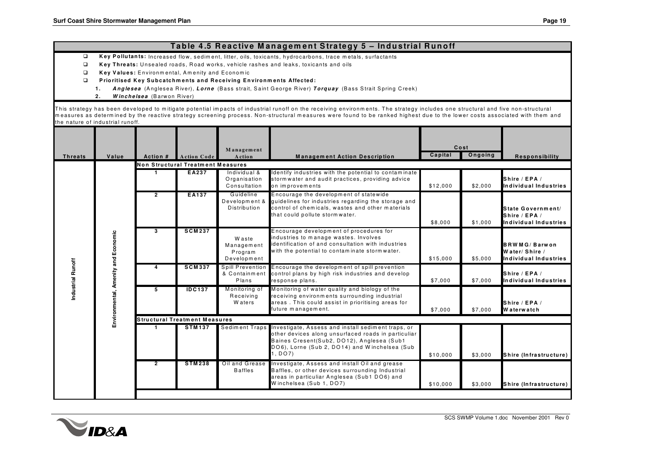#### Table 4.5 Reactive Management Strategy 5 – Industrial Runoff

- $\boxed{1}$ Key Pollutants: Increased flow, sediment, litter, oils, toxicants, hydrocarbons, trace metals, surfactants
- $\Box$ **K ey Thre ats:** U nse aled road <sup>s</sup> , R oad <sup>w</sup> ork <sup>s</sup> , vehic le rashes and le ak <sup>s</sup> , toxicants and oils
- $\Box$ **Key Values:** Environmental, Amenity and Economic
- $\Box$  **P rio ritised K ey Sub catchm ents and R ece iving En viro nm ents Affected :**
	- **1.** *A*Anglesea (Anglesea River), Lorne (Bass strait, Saint George River) Torquay (Bass Strait Spring Creek)
	- **2.***W inch elsea* (B arw on R iver)

This strategy has been developed to mitigate potential impacts of industrial runoff on the receiving environments. The strategy includes one structural and five non-structural measures as determined by the reactive strategy screening process. Non-structural measures were found to be ranked highest due to the lower costs associated with them and the nature of industrial runoff.

| Non Structural Treatment Measures<br>Individual &<br>EA237<br>dentify industries with the potential to contaminate<br>Shire / EPA /<br>Organisation<br>stormwater and audit practices, providing advice<br>Consultation<br>on improvements<br>\$12,000<br>\$2,000<br>$\overline{2}$<br><b>EA137</b><br>Encourage the development of statewide<br>Guideline<br>Development &<br>quidelines for industries regarding the storage and<br>Distribution<br>control of chemicals, wastes and other materials<br>that could pollute storm water.<br>Shire / EPA /<br>\$8,000<br>\$1,000<br><b>SCM237</b><br>Encourage development of procedures for<br>3<br>Environmental, Amenity and Economic<br>industries to manage wastes. Involves<br><b>W</b> aste<br>identification of and consultation with industries<br>Management<br>with the potential to contaminate stormwater.<br>Program<br>Water/Shire /<br>Development<br>\$15,000<br>\$5,000<br>Industrial Runoff<br><b>SCM337</b><br>Spill Prevention<br>Encourage the development of spill prevention<br>4<br>& Containment<br>control plans by high risk industries and develop<br>Shire / EPA /<br>Plans<br>\$7.000<br>\$7.000<br>response plans.<br>Monitoring of water quality and biology of the<br><b>IDC137</b><br>Monitoring of<br>5<br>receiving environments surrounding industrial<br>Receiving<br>areas. This could assist in prioritising areas for<br>W aters<br>Shire / EPA /<br>future management.<br>\$7.000<br><b>Waterwatch</b><br>\$7,000<br><b>Structural Treatment Measures</b><br>Sediment Traps Investigate, Assess and install sediment traps, or<br><b>STM137</b><br>other devices along unsurfaced roads in particuliar<br>Baines Cresent(Sub2, DO12), Anglesea (Sub1<br>DO6), Lorne (Sub 2, DO14) and Winchelsea (Sub<br>, DO7)<br>\$10,000<br>\$3,000<br>Oil and Grease<br>nvestigate, Assess and install Oil and grease<br><b>STM238</b><br>$\overline{2}$<br><b>Baffles</b><br>Baffles, or other devices surrounding Industrial<br>areas in particuliar Anglesea (Sub1 DO6) and | <b>Threats</b> | Value | Action # | Action Code | Management<br>Action | <b>Management Action Description</b> | Cost<br>Capital | Ongoing | <b>Responsibility</b>                        |  |
|---------------------------------------------------------------------------------------------------------------------------------------------------------------------------------------------------------------------------------------------------------------------------------------------------------------------------------------------------------------------------------------------------------------------------------------------------------------------------------------------------------------------------------------------------------------------------------------------------------------------------------------------------------------------------------------------------------------------------------------------------------------------------------------------------------------------------------------------------------------------------------------------------------------------------------------------------------------------------------------------------------------------------------------------------------------------------------------------------------------------------------------------------------------------------------------------------------------------------------------------------------------------------------------------------------------------------------------------------------------------------------------------------------------------------------------------------------------------------------------------------------------------------------------------------------------------------------------------------------------------------------------------------------------------------------------------------------------------------------------------------------------------------------------------------------------------------------------------------------------------------------------------------------------------------------------------------------------------------------------------------------------------------------------------------------------|----------------|-------|----------|-------------|----------------------|--------------------------------------|-----------------|---------|----------------------------------------------|--|
|                                                                                                                                                                                                                                                                                                                                                                                                                                                                                                                                                                                                                                                                                                                                                                                                                                                                                                                                                                                                                                                                                                                                                                                                                                                                                                                                                                                                                                                                                                                                                                                                                                                                                                                                                                                                                                                                                                                                                                                                                                                               |                |       |          |             |                      |                                      |                 |         |                                              |  |
|                                                                                                                                                                                                                                                                                                                                                                                                                                                                                                                                                                                                                                                                                                                                                                                                                                                                                                                                                                                                                                                                                                                                                                                                                                                                                                                                                                                                                                                                                                                                                                                                                                                                                                                                                                                                                                                                                                                                                                                                                                                               |                |       |          |             |                      |                                      |                 |         | Individual Industries                        |  |
|                                                                                                                                                                                                                                                                                                                                                                                                                                                                                                                                                                                                                                                                                                                                                                                                                                                                                                                                                                                                                                                                                                                                                                                                                                                                                                                                                                                                                                                                                                                                                                                                                                                                                                                                                                                                                                                                                                                                                                                                                                                               |                |       |          |             |                      |                                      |                 |         | State Government/<br>Individual Industries   |  |
|                                                                                                                                                                                                                                                                                                                                                                                                                                                                                                                                                                                                                                                                                                                                                                                                                                                                                                                                                                                                                                                                                                                                                                                                                                                                                                                                                                                                                                                                                                                                                                                                                                                                                                                                                                                                                                                                                                                                                                                                                                                               |                |       |          |             |                      |                                      |                 |         | <b>BRWMG/Barwon</b><br>Individual Industries |  |
|                                                                                                                                                                                                                                                                                                                                                                                                                                                                                                                                                                                                                                                                                                                                                                                                                                                                                                                                                                                                                                                                                                                                                                                                                                                                                                                                                                                                                                                                                                                                                                                                                                                                                                                                                                                                                                                                                                                                                                                                                                                               |                |       |          |             |                      |                                      |                 |         | Individual Industries                        |  |
|                                                                                                                                                                                                                                                                                                                                                                                                                                                                                                                                                                                                                                                                                                                                                                                                                                                                                                                                                                                                                                                                                                                                                                                                                                                                                                                                                                                                                                                                                                                                                                                                                                                                                                                                                                                                                                                                                                                                                                                                                                                               |                |       |          |             |                      |                                      |                 |         |                                              |  |
|                                                                                                                                                                                                                                                                                                                                                                                                                                                                                                                                                                                                                                                                                                                                                                                                                                                                                                                                                                                                                                                                                                                                                                                                                                                                                                                                                                                                                                                                                                                                                                                                                                                                                                                                                                                                                                                                                                                                                                                                                                                               |                |       |          |             |                      |                                      |                 |         |                                              |  |
|                                                                                                                                                                                                                                                                                                                                                                                                                                                                                                                                                                                                                                                                                                                                                                                                                                                                                                                                                                                                                                                                                                                                                                                                                                                                                                                                                                                                                                                                                                                                                                                                                                                                                                                                                                                                                                                                                                                                                                                                                                                               |                |       |          |             |                      |                                      |                 |         | Shire (Infrastructure)                       |  |
| \$10,000<br>\$3,000                                                                                                                                                                                                                                                                                                                                                                                                                                                                                                                                                                                                                                                                                                                                                                                                                                                                                                                                                                                                                                                                                                                                                                                                                                                                                                                                                                                                                                                                                                                                                                                                                                                                                                                                                                                                                                                                                                                                                                                                                                           |                |       |          |             |                      | Winchelsea (Sub 1, DO7)              |                 |         | Shire (Infrastructure)                       |  |

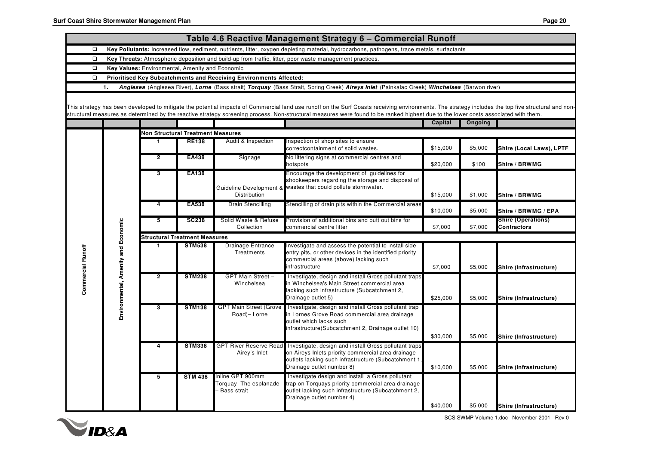|                   |                                     |                                                 |                                      |                                                                    | Table 4.6 Reactive Management Strategy 6 - Commercial Runoff                                                                                                                                                                                                                                                                                                                             |                |         |                                                 |
|-------------------|-------------------------------------|-------------------------------------------------|--------------------------------------|--------------------------------------------------------------------|------------------------------------------------------------------------------------------------------------------------------------------------------------------------------------------------------------------------------------------------------------------------------------------------------------------------------------------------------------------------------------------|----------------|---------|-------------------------------------------------|
| $\Box$            |                                     |                                                 |                                      |                                                                    | Key Pollutants: Increased flow, sediment, nutrients, litter, oxygen depleting material, hydrocarbons, pathogens, trace metals, surfactants                                                                                                                                                                                                                                               |                |         |                                                 |
| $\Box$            |                                     |                                                 |                                      |                                                                    | Key Threats: Atmospheric deposition and build-up from traffic, litter, poor waste management practices.                                                                                                                                                                                                                                                                                  |                |         |                                                 |
| $\Box$            |                                     | Key Values: Environmental, Amenity and Economic |                                      |                                                                    |                                                                                                                                                                                                                                                                                                                                                                                          |                |         |                                                 |
| $\Box$            |                                     |                                                 |                                      | Prioritised Key Subcatchments and Receiving Environments Affected: |                                                                                                                                                                                                                                                                                                                                                                                          |                |         |                                                 |
|                   | 1.                                  |                                                 |                                      |                                                                    | Anglesea (Anglesea River), Lorne (Bass strait) Torquay (Bass Strait, Spring Creek) Aireys Inlet (Painkalac Creek) Winchelsea (Barwon river)                                                                                                                                                                                                                                              |                |         |                                                 |
|                   |                                     |                                                 |                                      |                                                                    |                                                                                                                                                                                                                                                                                                                                                                                          |                |         |                                                 |
|                   |                                     |                                                 |                                      |                                                                    | This strategy has been developed to mitigate the potential impacts of Commercial land use runoff on the Surf Coasts receiving environments. The strategy includes the top five structural and non-<br>structural measures as determined by the reactive strategy screening process. Non-structural measures were found to be ranked highest due to the lower costs associated with them. |                |         |                                                 |
|                   |                                     |                                                 |                                      |                                                                    |                                                                                                                                                                                                                                                                                                                                                                                          | <b>Capital</b> | Ongoing |                                                 |
|                   |                                     | <b>Non Structural Treatment Measures</b>        |                                      |                                                                    |                                                                                                                                                                                                                                                                                                                                                                                          |                |         |                                                 |
|                   |                                     | 1                                               | <b>RE138</b>                         | Audit & Inspection                                                 | Inspection of shop sites to ensure<br>correctcontainment of solid wastes.                                                                                                                                                                                                                                                                                                                | \$15.000       | \$5,000 | Shire (Local Laws), LPTF                        |
|                   |                                     | $\mathbf{2}$                                    | EA438                                | Signage                                                            | No littering signs at commercial centres and<br>hotspots                                                                                                                                                                                                                                                                                                                                 | \$20,000       | \$100   | Shire / BRWMG                                   |
|                   |                                     | 3                                               | EA138                                | Guideline Development &                                            | Encourage the development of guidelines for<br>shopkeepers regarding the storage and disposal of<br>wastes that could pollute stormwater.                                                                                                                                                                                                                                                |                |         |                                                 |
|                   |                                     |                                                 |                                      | Distribution                                                       |                                                                                                                                                                                                                                                                                                                                                                                          | \$15,000       | \$1,000 | Shire / BRWMG                                   |
|                   |                                     | 4                                               | <b>EA538</b>                         | <b>Drain Stencilling</b>                                           | Stencilling of drain pits within the Commercial areas                                                                                                                                                                                                                                                                                                                                    | \$10,000       | \$5,000 | Shire / BRWMG / EPA                             |
|                   |                                     | 5                                               | <b>SC238</b>                         | Solid Waste & Refuse<br>Collection                                 | Provision of additional bins and butt out bins for<br>commercial centre litter                                                                                                                                                                                                                                                                                                           | \$7,000        | \$7,000 | <b>Shire (Operations)</b><br><b>Contractors</b> |
|                   |                                     |                                                 | <b>Structural Treatment Measures</b> |                                                                    |                                                                                                                                                                                                                                                                                                                                                                                          |                |         |                                                 |
| Commercial Runoff |                                     | 1                                               | <b>STM538</b>                        | <b>Drainage Entrance</b><br>Treatments                             | Investigate and assess the potential to install side<br>entry pits, or other devices in the identified priority<br>commercial areas (above) lacking such<br>infrastructure                                                                                                                                                                                                               | \$7,000        | \$5,000 | Shire (Infrastructure)                          |
|                   | Environmental, Amenity and Economic | $\overline{2}$                                  | <b>STM238</b>                        | GPT Main Street -<br>Winchelsea                                    | Investigate, design and install Gross pollutant traps<br>in Winchelsea's Main Street commercial area<br>lacking such infrastructure (Subcatchment 2,<br>Drainage outlet 5)                                                                                                                                                                                                               | \$25,000       | \$5,000 | Shire (Infrastructure)                          |
|                   |                                     | 3                                               | <b>STM138</b>                        | GPT Main Street (Grove<br>Road)- Lorne                             | Investigate, design and install Gross pollutant trap<br>in Lornes Grove Road commercial area drainage<br>outlet which lacks such<br>infrastructure (Subcatchment 2, Drainage outlet 10)                                                                                                                                                                                                  | \$30,000       | \$5,000 | Shire (Infrastructure)                          |
|                   |                                     |                                                 | <b>STM338</b>                        | <b>GPT River Reserve Road</b><br>- Airey's Inlet                   | Investigate, design and install Gross pollutant traps<br>on Aireys Inlets priority commercial area drainage<br>outlets lacking such infrastructure (Subcatchment 1.<br>Drainage outlet number 8)                                                                                                                                                                                         | \$10,000       | \$5,000 | Shire (Infrastructure)                          |
|                   |                                     | 5                                               | <b>STM 438</b>                       | Inline GPT 900mm<br>orquay - The esplanade<br>Bass strait          | Investigate design and install a Gross pollutant<br>trap on Torquays priority commercial area drainage<br>outlet lacking such infrastructure (Subcatchment 2,<br>Drainage outlet number 4)                                                                                                                                                                                               | \$40,000       | \$5,000 | Shire (Infrastructure)                          |



SCS SWMP Volume 1.doc November 2001 Rev 0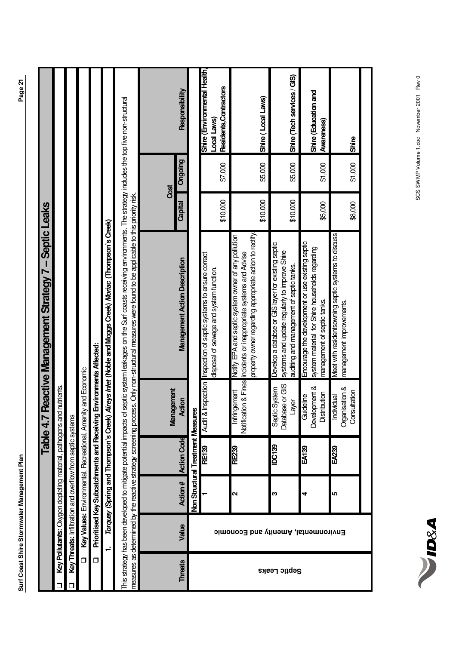| ֚֘֝                                                                                          |
|----------------------------------------------------------------------------------------------|
|                                                                                              |
|                                                                                              |
|                                                                                              |
|                                                                                              |
|                                                                                              |
|                                                                                              |
|                                                                                              |
|                                                                                              |
|                                                                                              |
|                                                                                              |
|                                                                                              |
|                                                                                              |
|                                                                                              |
|                                                                                              |
|                                                                                              |
|                                                                                              |
|                                                                                              |
|                                                                                              |
|                                                                                              |
|                                                                                              |
|                                                                                              |
|                                                                                              |
|                                                                                              |
|                                                                                              |
|                                                                                              |
|                                                                                              |
|                                                                                              |
|                                                                                              |
|                                                                                              |
|                                                                                              |
|                                                                                              |
|                                                                                              |
|                                                                                              |
|                                                                                              |
|                                                                                              |
|                                                                                              |
|                                                                                              |
|                                                                                              |
|                                                                                              |
|                                                                                              |
|                                                                                              |
|                                                                                              |
|                                                                                              |
|                                                                                              |
|                                                                                              |
|                                                                                              |
|                                                                                              |
|                                                                                              |
|                                                                                              |
|                                                                                              |
|                                                                                              |
|                                                                                              |
|                                                                                              |
|                                                                                              |
|                                                                                              |
|                                                                                              |
| ŗ<br>5                                                                                       |
| j<br>l                                                                                       |
| ֘֒                                                                                           |
|                                                                                              |
|                                                                                              |
| Í<br>י<br>֠<br>į                                                                             |
|                                                                                              |
|                                                                                              |
| $\overline{1}$<br>֖֖֧ׅ֧֧֧֧֧֧֧֧֚֚֚֚֚֚֚֚֚֚֚֚֚֚֚֚֚֚֚֚֚֚֚֚֚֚֚֚֚֬֝֝֓֝֓֞֝֓֝֬֝֬֝֬֝֬֝                |
| i                                                                                            |
| ֚֚֬                                                                                          |
|                                                                                              |
| Ő                                                                                            |
| $\vdots$                                                                                     |
| i                                                                                            |
|                                                                                              |
| ֧֦֦֦֧֪֪ׅ֧֪֪ׅ֧֚֚֚֚֚֚֚֚֚֚֚֚֚֚֚֚֡֓֡֓֡֓֡֓֡֓֡֓֡֬֝֬֓֓֡֓֬֓֓֬֓֓֓֡֬֓֓֓֞֓֡֓֬֓֓֞֬֓֓֬֓֓֡֬֝֓֬֝֬֓֓֝֬֓<br>i |
|                                                                                              |
|                                                                                              |
| I                                                                                            |
| Ę                                                                                            |
| 7<br>Ó                                                                                       |

|                |                                     |                   |                                                                  | Table 4.7                                    | Reactive Management Strategy 7 - Septic Leaks                                                                                                                                                                                                                             |                 |         |                                                                       |
|----------------|-------------------------------------|-------------------|------------------------------------------------------------------|----------------------------------------------|---------------------------------------------------------------------------------------------------------------------------------------------------------------------------------------------------------------------------------------------------------------------------|-----------------|---------|-----------------------------------------------------------------------|
|                |                                     |                   | Key Pollutants: Oxygen depleting material, pathogens and         | nutrients.                                   |                                                                                                                                                                                                                                                                           |                 |         |                                                                       |
|                |                                     |                   | Key Threats: Infiltration and overflow from septic systems       |                                              |                                                                                                                                                                                                                                                                           |                 |         |                                                                       |
| $\Box$         |                                     |                   | Key Values: Environmental, Recreational, Ameni                   | ty and Economic                              |                                                                                                                                                                                                                                                                           |                 |         |                                                                       |
| $\Box$         |                                     |                   | Prioritised Key Subcatchments and Receiving                      |                                              | Environments Affected:                                                                                                                                                                                                                                                    |                 |         |                                                                       |
|                | ÷                                   |                   | Torquay (Spring and Thompson's Creek)                            |                                              | Aireys Inlet (Noble and Moggs Creek) Moriac (Thompson's Creek)                                                                                                                                                                                                            |                 |         |                                                                       |
|                |                                     |                   | his strategy has been developed to mitigate potential impacts of |                                              | septic system leakages on the Surf coasts receiving environments. The strategy includes the top five non-structural<br>measures as determined by the reactive strategy screening process. Only non-structural measures were found to be applicable to this priority risk. |                 |         |                                                                       |
| <b>Threats</b> | Value                               | Action #          | <b>Action Code</b>                                               | <b>Management</b><br>Action                  | <b>Management Action Description</b>                                                                                                                                                                                                                                      | Cost<br>Capital | Ongoing | Responsibility                                                        |
|                |                                     |                   | Non Structural Treatment Measures                                |                                              |                                                                                                                                                                                                                                                                           |                 |         |                                                                       |
|                |                                     |                   | RE139                                                            | Audi & Inspection                            | Inspection of septic systems to ensure correct<br>disposal of sewage and system function.                                                                                                                                                                                 | \$10,000        | \$7,000 | Shire (Environmental Health,<br>Residents, Contractors<br>Local Laws) |
|                | Environmental, Amenity and Economic | $\mathbf{\Omega}$ | RE239                                                            | Notification & Fines<br>ngement<br>lmini     | property owner regarding appropriate action to rectify<br>Notify EPA and septic system owner of any pollution<br>incidents or inappropriate systems and Advise                                                                                                            | \$10,000        | \$5,000 | Shire (Local Laws)                                                    |
| Septic Leaks   |                                     | ო                 | <b>IDC139</b>                                                    | Database or GIS<br>Septic System<br>ayer     | Develop a databse or GIS layer for existing septic<br>systems and update regularly to improve Shire<br>auditing and management of septic tanks.                                                                                                                           | \$10,000        | \$5,000 | Shire (Tech services / GIS)                                           |
|                |                                     | 4                 | EA <sub>139</sub>                                                | Development &<br>Distribution<br>Guideline   | Encourage the development or use existing septic<br>system material for Shire households regarding<br>management of septic tanks.                                                                                                                                         | \$5,000         | \$1,000 | Shire (Education and<br><b>Awareness</b>                              |
|                |                                     | 5                 | EA239                                                            | Organisation &<br>Consultation<br>Individual | Meet with residentsowning septic systems to discuss<br>management improvements.                                                                                                                                                                                           | \$8,000         | \$1,000 | Shire                                                                 |
|                |                                     |                   |                                                                  |                                              |                                                                                                                                                                                                                                                                           |                 |         |                                                                       |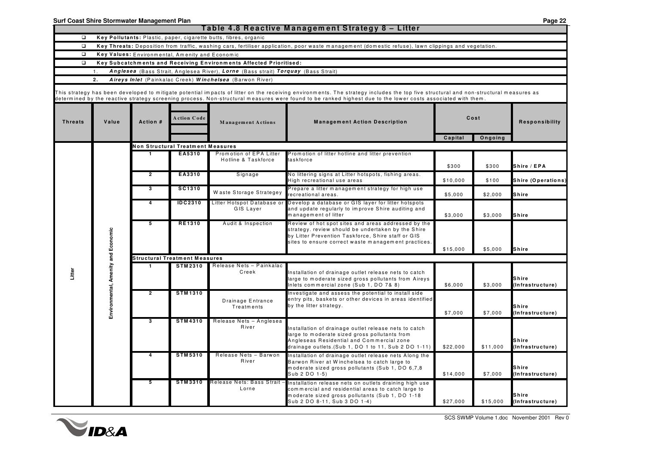|                                               |                  |                |                                                 |                                                                                   | Table 4.8 Reactive Management Strategy 8 - Litter                                                                                                                                                                                                                                                                                                   |          |          |                                                                                                                                                                                                            |          |          |                           |
|-----------------------------------------------|------------------|----------------|-------------------------------------------------|-----------------------------------------------------------------------------------|-----------------------------------------------------------------------------------------------------------------------------------------------------------------------------------------------------------------------------------------------------------------------------------------------------------------------------------------------------|----------|----------|------------------------------------------------------------------------------------------------------------------------------------------------------------------------------------------------------------|----------|----------|---------------------------|
| $\Box$                                        |                  |                |                                                 | Key Pollutants: Plastic, paper, cigarette butts, fibres, organic                  |                                                                                                                                                                                                                                                                                                                                                     |          |          |                                                                                                                                                                                                            |          |          |                           |
| $\Box$                                        |                  |                |                                                 |                                                                                   | Key Threats: Deposition from traffic, washing cars, fertiliser application, poor waste management (domestic refuse), lawn clippings and vegetation.                                                                                                                                                                                                 |          |          |                                                                                                                                                                                                            |          |          |                           |
| $\Box$                                        |                  |                | Key Values: Environmental, Amenity and Economic |                                                                                   |                                                                                                                                                                                                                                                                                                                                                     |          |          |                                                                                                                                                                                                            |          |          |                           |
| $\Box$                                        |                  |                |                                                 | Key Subcatchments and Receiving Environments Affected Prioritised:                |                                                                                                                                                                                                                                                                                                                                                     |          |          |                                                                                                                                                                                                            |          |          |                           |
|                                               | $\overline{1}$ . |                |                                                 | Anglesea (Bass Strait, Anglesea River), Lorne (Bass strait) Torquay (Bass Strait) |                                                                                                                                                                                                                                                                                                                                                     |          |          |                                                                                                                                                                                                            |          |          |                           |
|                                               | 2.               |                |                                                 | Aireys Inlet (Painkalac Creek) Winchelsea (Barwon River)                          |                                                                                                                                                                                                                                                                                                                                                     |          |          |                                                                                                                                                                                                            |          |          |                           |
|                                               |                  |                |                                                 |                                                                                   | This strategy has been developed to mitigate potential impacts of litter on the receiving environments. The strategy includes the top five structural and non-structural measures as<br>determined by the reactive strategy screening process. Non-structural measures were found to be ranked highest due to the lower costs associated with them. |          |          |                                                                                                                                                                                                            |          |          |                           |
| <b>Threats</b>                                | Value            | Action #       | <b>Action Code</b>                              | <b>Management Actions</b>                                                         | <b>Management Action Description</b>                                                                                                                                                                                                                                                                                                                |          | Cost     | Responsibility                                                                                                                                                                                             |          |          |                           |
|                                               |                  |                |                                                 |                                                                                   |                                                                                                                                                                                                                                                                                                                                                     | Capital  | Ongoing  |                                                                                                                                                                                                            |          |          |                           |
|                                               |                  |                | <b>Non Structural Treatment Measures</b>        |                                                                                   |                                                                                                                                                                                                                                                                                                                                                     |          |          |                                                                                                                                                                                                            |          |          |                           |
|                                               |                  |                | EA5310                                          | Promotion of EPA Litter<br>Hotline & Taskforce                                    | Promotion of litter hotline and litter prevention<br>askforce                                                                                                                                                                                                                                                                                       | \$300    | \$300    | Shire / EPA                                                                                                                                                                                                |          |          |                           |
|                                               |                  | $\overline{2}$ | EA3310                                          | Signage                                                                           | No littering signs at Litter hotspots, fishing areas.<br>High recreational use areas                                                                                                                                                                                                                                                                | \$10,000 | \$100    | Shire (Operations)                                                                                                                                                                                         |          |          |                           |
|                                               |                  | 3              | SC1310                                          | Waste Storage Strategey                                                           | Prepare a litter management strategy for high use<br>ecreational areas.                                                                                                                                                                                                                                                                             | \$5,000  | \$2,000  | Shire                                                                                                                                                                                                      |          |          |                           |
|                                               |                  | 4              | <b>IDC2310</b>                                  | Litter Hotspot Database or<br>GIS Laver                                           | Develop a database or GIS layer for litter hotspots<br>and update regularly to improve Shire auditing and<br>management of litter                                                                                                                                                                                                                   | \$3,000  | \$3,000  | <b>Shire</b>                                                                                                                                                                                               |          |          |                           |
|                                               |                  | 5              | RE1310                                          | Audit & Inspection                                                                | Review of hot spot sites and areas addressed by the<br>strategy, review should be undertaken by the Shire<br>by Litter Prevention Taskforce, Shire staff or GIS<br>sites to ensure correct waste management practices.                                                                                                                              | \$15,000 | \$5,000  | Shire                                                                                                                                                                                                      |          |          |                           |
|                                               |                  |                | <b>Structural Treatment Measures</b>            |                                                                                   |                                                                                                                                                                                                                                                                                                                                                     |          |          |                                                                                                                                                                                                            |          |          |                           |
|                                               |                  |                | <b>STM2310</b>                                  | Release Nets - Painkalac                                                          |                                                                                                                                                                                                                                                                                                                                                     |          |          |                                                                                                                                                                                                            |          |          |                           |
| Environmental, Amenity and Economic<br>Litter |                  |                |                                                 | Creek                                                                             | Installation of drainage outlet release nets to catch<br>large to moderate sized gross pollutants from Aireys<br>Inlets commercial zone (Sub 1, DO 7& 8)                                                                                                                                                                                            | \$6,000  | \$3,000  | <b>Shire</b><br>(Infrastructure)                                                                                                                                                                           |          |          |                           |
|                                               |                  | $\overline{2}$ | <b>STM1310</b>                                  | Drainage Entrance<br><b>Treatments</b>                                            | Investigate and assess the potential to install side<br>entry pits, baskets or other devices in areas identified<br>by the litter strategy.                                                                                                                                                                                                         | \$7,000  | \$7,000  | Shire<br>(Infrastructure)                                                                                                                                                                                  |          |          |                           |
|                                               |                  | 3              | <b>STM4310</b>                                  | Release Nets - Anglesea                                                           |                                                                                                                                                                                                                                                                                                                                                     |          |          |                                                                                                                                                                                                            |          |          |                           |
|                                               |                  |                |                                                 |                                                                                   |                                                                                                                                                                                                                                                                                                                                                     |          | River    | Installation of drainage outlet release nets to catch<br>large to moderate sized gross pollutants from<br>Angleseas Residential and Commercial zone<br>drainage outlets.(Sub 1, DO 1 to 11, Sub 2 DO 1-11) | \$22,000 | \$11,000 | Shire<br>(Infrastructure) |
|                                               |                  | 4              | <b>STM5310</b>                                  | Release Nets - Barwon<br>River                                                    | Installation of drainage outlet release nets Along the<br>Barwon River at Winchelsea to catch large to<br>moderate sized gross pollutants (Sub 1, DO 6,7,8<br>Sub 2 DO 1-5)                                                                                                                                                                         | \$14,000 | \$7,000  | <b>Shire</b><br>(Infrastructure)                                                                                                                                                                           |          |          |                           |
|                                               |                  | 5              | <b>STM3310</b>                                  | Release Nets: Bass Strait -<br>Lorne                                              | Installation release nets on outlets draining high use<br>commercial and residential areas to catch large to<br>moderate sized gross pollutants (Sub 1, DO 1-18<br>Sub 2 DO 8-11, Sub 3 DO 1-4)                                                                                                                                                     | \$27,000 | \$15,000 | <b>Shire</b><br>(Infrastructure)                                                                                                                                                                           |          |          |                           |

**Surf Coast Shire Stormwater Management Plan Page 22**

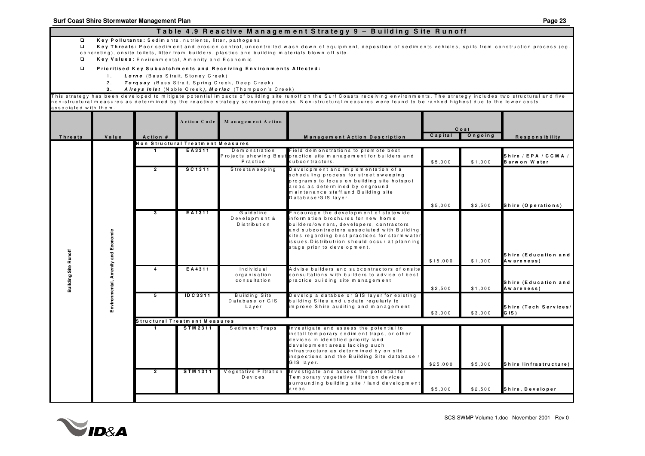#### Table 4.9 Reactive Management Strategy 9 – Building Site Runoff

 $\Box$ **K <sup>e</sup> y P <sup>o</sup> llu t <sup>a</sup> <sup>n</sup> t <sup>s</sup> :** S <sup>e</sup> d im <sup>e</sup> <sup>n</sup> t <sup>s</sup> , <sup>n</sup> <sup>u</sup> trie <sup>n</sup> t <sup>s</sup> , litt <sup>e</sup> r, p <sup>a</sup> t h <sup>o</sup> g <sup>e</sup> <sup>n</sup> <sup>s</sup>

- $\Box$ Key Threats: Poor sediment and erosion control, uncontrolled wash down of equipment, deposition of sediments vehicles, spills from construction process (eg concreting), onsite toilets, litter from builders, plastics and building materials blown off site.
- $\Box$ **K <sup>e</sup> y V <sup>a</sup> lu <sup>e</sup> <sup>s</sup> :** E <sup>n</sup> <sup>v</sup> ir <sup>o</sup> <sup>n</sup> <sup>m</sup> <sup>e</sup> <sup>n</sup> ta l, A <sup>m</sup> <sup>e</sup> <sup>n</sup> it y <sup>a</sup> <sup>n</sup> d E <sup>c</sup> <sup>o</sup> <sup>n</sup> <sup>o</sup> <sup>m</sup> ic
- $\Box$ Prioritised Key Subcatchments and Receiving Environments Affected:
	- 1 . *L <sup>o</sup> <sup>r</sup> <sup>n</sup> <sup>e</sup>* (B <sup>a</sup> <sup>s</sup> <sup>s</sup> S tr <sup>a</sup> it , S t <sup>o</sup> <sup>n</sup> <sup>e</sup> y C <sup>r</sup> <sup>e</sup> <sup>e</sup> k )
	- 2 . *T <sup>o</sup> <sup>r</sup> q <sup>u</sup> <sup>a</sup> y* (B <sup>a</sup> <sup>s</sup> <sup>s</sup> S tr <sup>a</sup> it , S p rin g C <sup>r</sup> <sup>e</sup> <sup>e</sup> k , D <sup>e</sup> <sup>e</sup> p C <sup>r</sup> <sup>e</sup> <sup>e</sup> k )
	- **3 .** *AAireys Inlet* (Noble Creek), *Moriac* (Thompson's Creek)

This strategy has been developed to mitigate potential impacts of building site runoff on the Surf Coasts receiving environments. The strategy includes two structural and five non-structural measures as determined by the reactive strategy screening process. Non-structural measures were found to be ranked highest due to the lower costs associated with them.

|                             |                                     |                | Action Code                       | Management Action                            |                                                                                                                                                                                                                                                                                                             |          | Cost    |                                      |
|-----------------------------|-------------------------------------|----------------|-----------------------------------|----------------------------------------------|-------------------------------------------------------------------------------------------------------------------------------------------------------------------------------------------------------------------------------------------------------------------------------------------------------------|----------|---------|--------------------------------------|
| <b>Threats</b>              | Value                               | Action #       |                                   |                                              | Management Action Description                                                                                                                                                                                                                                                                               | Capital  | Ongoing | Responsibility                       |
|                             |                                     |                | Non Structural Treatment Measures |                                              |                                                                                                                                                                                                                                                                                                             |          |         |                                      |
|                             |                                     | $\mathbf{1}$   | EA3311                            | Demonstration<br>Practice                    | Field demonstrations to promote best<br>Projects showing Best practice site management for builders and<br>subcontractors.                                                                                                                                                                                  | \$5.000  | \$1.000 | Shire / EPA / CCMA /<br>Barwon Water |
|                             |                                     | $\overline{2}$ | SC <sub>1311</sub>                | Streetsweeping                               | Development and implementation of a<br>scheduling process for street sweeping<br>programs to focus on building site hotspot<br>areas as determined by onground<br>maintenance staff.and Building site<br>Database/GIS layer.                                                                                |          |         |                                      |
|                             |                                     |                |                                   |                                              |                                                                                                                                                                                                                                                                                                             | \$5.000  | \$2.500 | Shire (Operations)                   |
| <b>Building Site Runoff</b> |                                     | з              | EA1311                            | Guideline<br>Development &<br>D is tribution | Encourage the development of statewide<br>inform ation brochures for new home<br>builders/owners, developers, contractors<br>and subcontractors associated with Building<br>sites regarding best practices for storm water<br>issues. Distributrion should occur at planning<br>stage prior to development. |          |         |                                      |
|                             |                                     |                |                                   |                                              |                                                                                                                                                                                                                                                                                                             | \$15,000 | \$1,000 | Shire (Education and<br>Awareness)   |
|                             | Environmental, Amenity and Economic |                | EA4311                            | Individual<br>organisation<br>consultation   | Advise builders and subcontractors of onsite<br>consultations with builders to advise of best<br>practice building site management                                                                                                                                                                          | \$2,500  | \$1,000 | Shire (Education and<br>Awareness)   |
|                             |                                     |                | <b>IDC3311</b>                    | Building Site<br>Database or GIS<br>Layer    | Develop a databse or GIS layer for existing<br>building Sites and update regularly to<br>improve Shire auditing and management                                                                                                                                                                              | \$3.000  | \$3,000 | Shire (Tech Services/<br>G IS)       |
|                             |                                     |                | Structural Treatment Measures     |                                              |                                                                                                                                                                                                                                                                                                             |          |         |                                      |
|                             |                                     | $\mathbf{1}$   | <b>STM2311</b>                    | Sediment Traps                               | Investigate and assess the potential to<br>install tem porary sedim ent traps, or other<br>devices in identified priority land<br>development areas lacking such<br>infrastructure as determined by on site<br>inspections and the Building Site database /<br>GIS layer.                                   | \$25,000 | \$5,000 | Shire linfrastructure)               |
|                             |                                     | $\overline{2}$ | <b>STM1311</b>                    | Vegetative Filtration<br>Devices             | Investigate and assess the potential for<br>Tem porary vegetative filtration devices<br>surrounding building site / land development<br>areas                                                                                                                                                               | \$5.000  | \$2,500 | Shire, Developer                     |

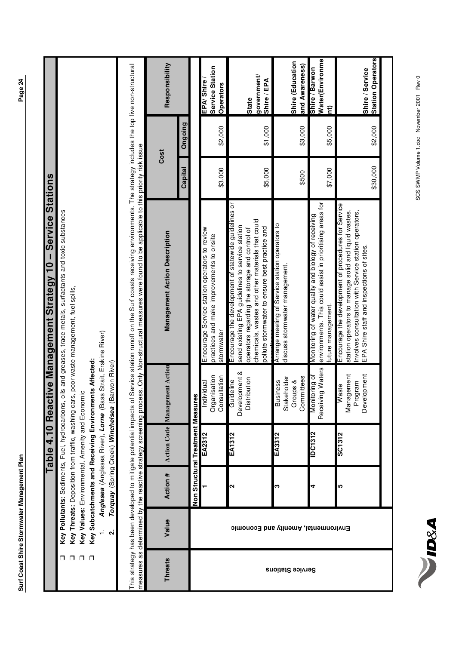|                  |                                     |          | Table 4.10                                      |                                                               | Service<br>Reactive Management Strategy 10 -                                                                                                                                                                                                                                                                                                     | <b>Stations</b> |         |                                             |
|------------------|-------------------------------------|----------|-------------------------------------------------|---------------------------------------------------------------|--------------------------------------------------------------------------------------------------------------------------------------------------------------------------------------------------------------------------------------------------------------------------------------------------------------------------------------------------|-----------------|---------|---------------------------------------------|
| ⊓                |                                     |          | Key Pollutants: Sediments, Fuel, hydrocarbons,  |                                                               | oils and greases, trace metals, surfactants and toxic substances                                                                                                                                                                                                                                                                                 |                 |         |                                             |
| σ                |                                     |          |                                                 |                                                               | Key Threats: Deposition from traffic, washing cars, poor waste management, fuel spills,                                                                                                                                                                                                                                                          |                 |         |                                             |
| $\Box$           |                                     |          | Key Values: Environmental, Amenity and Economic |                                                               |                                                                                                                                                                                                                                                                                                                                                  |                 |         |                                             |
| $\Box$           |                                     |          | Key Subcatchments and Receiving Environm        | ents Affected:                                                |                                                                                                                                                                                                                                                                                                                                                  |                 |         |                                             |
|                  |                                     |          |                                                 | Anglesea (Anglesea River), Lorne (Bass Strait, Erskine River) |                                                                                                                                                                                                                                                                                                                                                  |                 |         |                                             |
|                  | $\mathbf{a}$                        | Torquay  | (Spring Creek) Winchelsea                       | Barwon River)                                                 |                                                                                                                                                                                                                                                                                                                                                  |                 |         |                                             |
|                  |                                     |          |                                                 |                                                               | This strategy has been developed to mitigate potential impacts of Service station runoff on the Surf coasts receiving environments. The strategy includes the top five non-structural<br>measures as determined by the reactive strategy screening process. Only Non-structural measures were found to be applicable to this priority risk issue |                 |         |                                             |
| <b>Threats</b>   | Value                               | Action # | <b>Action Code</b>                              | Management Action                                             | <b>Management Action Description</b>                                                                                                                                                                                                                                                                                                             | Cost            |         | Responsibility                              |
|                  |                                     |          |                                                 |                                                               |                                                                                                                                                                                                                                                                                                                                                  | Capital         | Ongoing |                                             |
|                  |                                     |          | Non Structural Treatment Measur                 | 8ĝ                                                            |                                                                                                                                                                                                                                                                                                                                                  |                 |         |                                             |
|                  |                                     |          | EA2312                                          | Organisation<br>Consultation<br>Individual                    | Encourage Service station operators to review<br>practices and make improvements to onsite<br>stormwater                                                                                                                                                                                                                                         | \$3,000         | \$2,000 | Service Station<br>EPA/Shire<br>Operators   |
|                  | Environmental, Amenity and Economic | 2        | <b>EA1312</b>                                   | Development &<br>Distribution<br>Guideline                    | Encourage the development of statewide guidelines or<br>chemicals, wastes and other materials that could<br>send existing EPA guidelines to service station<br>pollute stormwater to ensure best practice and<br>operators regarding the storage and control of                                                                                  | \$5,000         | \$1,000 | government/<br>Shire / EPA<br>State         |
| Service Stations |                                     | w        | EA3312                                          | Committees<br>Stakeholder<br>Groups &<br><b>Business</b>      | Arrange meeting of Service station operators to<br>discuss stormwater management                                                                                                                                                                                                                                                                 | \$500           | \$3,000 | Shire (Education<br>and Awareness)          |
|                  |                                     | 4        | IDC1312                                         | Receiving Waters<br>Monitoring of                             | environments. This could assist in prioritising areas for<br>Monitoring of water quality and biology of receiving<br>future management.                                                                                                                                                                                                          | \$7,000         | \$5,000 | Water(Environme<br>Shire / Barwon<br>î,     |
|                  |                                     | 5        | <b>SC1312</b>                                   | Development<br>Management<br>Program<br>Naste                 | Encourage the development of procedures for Service<br>station operators to manage solid and liquid wastes.<br>Involves consultation with Service station operators,<br>EPA Shire staff and inspections of sites.                                                                                                                                | \$30,000        | \$2,000 | <b>Station Operators</b><br>Shire / Service |

**NUDRA**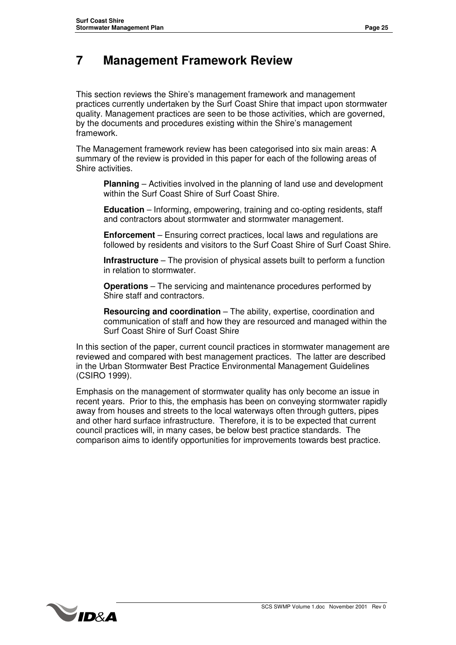### **7 Management Framework Review**

This section reviews the Shire's management framework and management practices currently undertaken by the Surf Coast Shire that impact upon stormwater quality. Management practices are seen to be those activities, which are governed, by the documents and procedures existing within the Shire's management framework.

The Management framework review has been categorised into six main areas: A summary of the review is provided in this paper for each of the following areas of Shire activities.

**Planning** – Activities involved in the planning of land use and development within the Surf Coast Shire of Surf Coast Shire.

**Education** – Informing, empowering, training and co-opting residents, staff and contractors about stormwater and stormwater management.

**Enforcement** – Ensuring correct practices, local laws and regulations are followed by residents and visitors to the Surf Coast Shire of Surf Coast Shire.

**Infrastructure** – The provision of physical assets built to perform a function in relation to stormwater.

**Operations** – The servicing and maintenance procedures performed by Shire staff and contractors.

**Resourcing and coordination** – The ability, expertise, coordination and communication of staff and how they are resourced and managed within the Surf Coast Shire of Surf Coast Shire

In this section of the paper, current council practices in stormwater management are reviewed and compared with best management practices. The latter are described in the Urban Stormwater Best Practice Environmental Management Guidelines (CSIRO 1999).

Emphasis on the management of stormwater quality has only become an issue in recent years. Prior to this, the emphasis has been on conveying stormwater rapidly away from houses and streets to the local waterways often through gutters, pipes and other hard surface infrastructure. Therefore, it is to be expected that current council practices will, in many cases, be below best practice standards. The comparison aims to identify opportunities for improvements towards best practice.

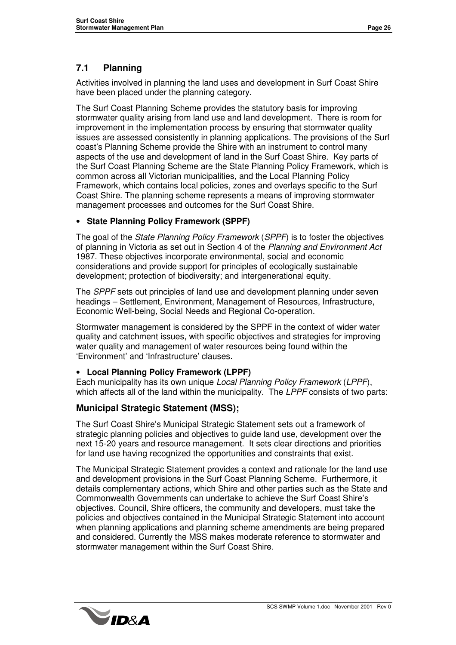#### **7.1 Planning**

Activities involved in planning the land uses and development in Surf Coast Shire have been placed under the planning category.

The Surf Coast Planning Scheme provides the statutory basis for improving stormwater quality arising from land use and land development. There is room for improvement in the implementation process by ensuring that stormwater quality issues are assessed consistently in planning applications. The provisions of the Surf coast's Planning Scheme provide the Shire with an instrument to control many aspects of the use and development of land in the Surf Coast Shire. Key parts of the Surf Coast Planning Scheme are the State Planning Policy Framework, which is common across all Victorian municipalities, and the Local Planning Policy Framework, which contains local policies, zones and overlays specific to the Surf Coast Shire. The planning scheme represents a means of improving stormwater management processes and outcomes for the Surf Coast Shire.

#### • **State Planning Policy Framework (SPPF)**

The goal of the *State Planning Policy Framework* (*SPPF*) is to foster the objectives of planning in Victoria as set out in Section 4 of the *Planning and Environment Act* 1987. These objectives incorporate environmental, social and economic considerations and provide support for principles of ecologically sustainable development; protection of biodiversity; and intergenerational equity.

The *SPPF* sets out principles of land use and development planning under seven headings – Settlement, Environment, Management of Resources, Infrastructure, Economic Well-being, Social Needs and Regional Co-operation.

Stormwater management is considered by the SPPF in the context of wider water quality and catchment issues, with specific objectives and strategies for improving water quality and management of water resources being found within the 'Environment' and 'Infrastructure' clauses.

#### • **Local Planning Policy Framework (LPPF)**

Each municipality has its own unique *Local Planning Policy Framework* (*LPPF*), which affects all of the land within the municipality. The *LPPF* consists of two parts:

#### **Municipal Strategic Statement (MSS);**

The Surf Coast Shire's Municipal Strategic Statement sets out a framework of strategic planning policies and objectives to guide land use, development over the next 15-20 years and resource management. It sets clear directions and priorities for land use having recognized the opportunities and constraints that exist.

The Municipal Strategic Statement provides a context and rationale for the land use and development provisions in the Surf Coast Planning Scheme. Furthermore, it details complementary actions, which Shire and other parties such as the State and Commonwealth Governments can undertake to achieve the Surf Coast Shire's objectives. Council, Shire officers, the community and developers, must take the policies and objectives contained in the Municipal Strategic Statement into account when planning applications and planning scheme amendments are being prepared and considered. Currently the MSS makes moderate reference to stormwater and stormwater management within the Surf Coast Shire.

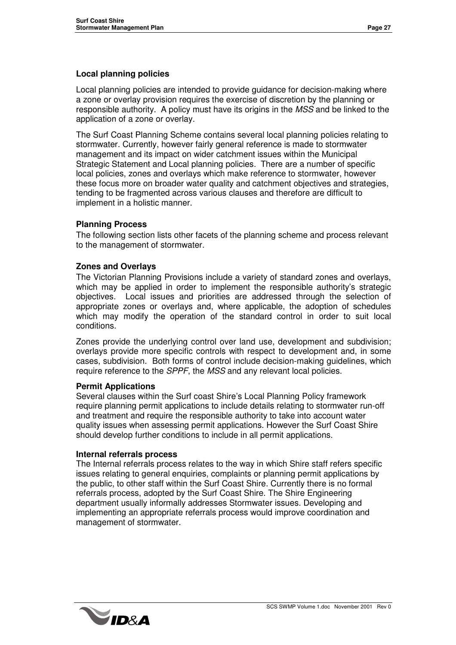#### **Local planning policies**

Local planning policies are intended to provide guidance for decision-making where a zone or overlay provision requires the exercise of discretion by the planning or responsible authority. A policy must have its origins in the *MSS* and be linked to the application of a zone or overlay.

The Surf Coast Planning Scheme contains several local planning policies relating to stormwater. Currently, however fairly general reference is made to stormwater management and its impact on wider catchment issues within the Municipal Strategic Statement and Local planning policies*.* There are a number of specific local policies, zones and overlays which make reference to stormwater, however these focus more on broader water quality and catchment objectives and strategies, tending to be fragmented across various clauses and therefore are difficult to implement in a holistic manner.

#### **Planning Process**

The following section lists other facets of the planning scheme and process relevant to the management of stormwater.

#### **Zones and Overlays**

The Victorian Planning Provisions include a variety of standard zones and overlays, which may be applied in order to implement the responsible authority's strategic objectives. Local issues and priorities are addressed through the selection of appropriate zones or overlays and, where applicable, the adoption of schedules which may modify the operation of the standard control in order to suit local conditions.

Zones provide the underlying control over land use, development and subdivision; overlays provide more specific controls with respect to development and, in some cases, subdivision. Both forms of control include decision-making guidelines, which require reference to the *SPPF*, the *MSS* and any relevant local policies.

#### **Permit Applications**

Several clauses within the Surf coast Shire's Local Planning Policy framework require planning permit applications to include details relating to stormwater run-off and treatment and require the responsible authority to take into account water quality issues when assessing permit applications. However the Surf Coast Shire should develop further conditions to include in all permit applications.

#### **Internal referrals process**

The Internal referrals process relates to the way in which Shire staff refers specific issues relating to general enquiries, complaints or planning permit applications by the public, to other staff within the Surf Coast Shire. Currently there is no formal referrals process, adopted by the Surf Coast Shire. The Shire Engineering department usually informally addresses Stormwater issues. Developing and implementing an appropriate referrals process would improve coordination and management of stormwater.

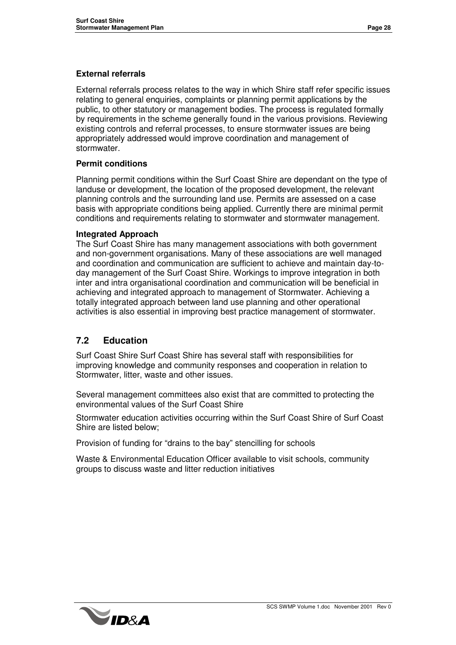#### **External referrals**

External referrals process relates to the way in which Shire staff refer specific issues relating to general enquiries, complaints or planning permit applications by the public, to other statutory or management bodies. The process is regulated formally by requirements in the scheme generally found in the various provisions. Reviewing existing controls and referral processes, to ensure stormwater issues are being appropriately addressed would improve coordination and management of stormwater.

#### **Permit conditions**

Planning permit conditions within the Surf Coast Shire are dependant on the type of landuse or development, the location of the proposed development, the relevant planning controls and the surrounding land use. Permits are assessed on a case basis with appropriate conditions being applied. Currently there are minimal permit conditions and requirements relating to stormwater and stormwater management.

#### **Integrated Approach**

The Surf Coast Shire has many management associations with both government and non-government organisations. Many of these associations are well managed and coordination and communication are sufficient to achieve and maintain day-today management of the Surf Coast Shire. Workings to improve integration in both inter and intra organisational coordination and communication will be beneficial in achieving and integrated approach to management of Stormwater. Achieving a totally integrated approach between land use planning and other operational activities is also essential in improving best practice management of stormwater.

#### **7.2 Education**

Surf Coast Shire Surf Coast Shire has several staff with responsibilities for improving knowledge and community responses and cooperation in relation to Stormwater, litter, waste and other issues.

Several management committees also exist that are committed to protecting the environmental values of the Surf Coast Shire

Stormwater education activities occurring within the Surf Coast Shire of Surf Coast Shire are listed below;

Provision of funding for "drains to the bay" stencilling for schools

Waste & Environmental Education Officer available to visit schools, community groups to discuss waste and litter reduction initiatives

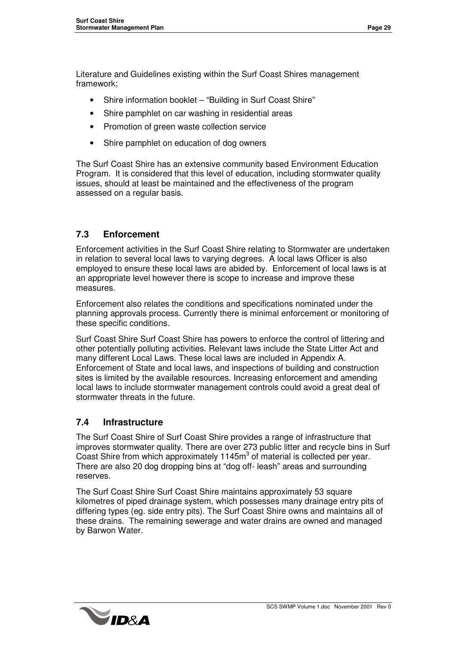Literature and Guidelines existing within the Surf Coast Shires management framework;

- Shire information booklet "Building in Surf Coast Shire"
- Shire pamphlet on car washing in residential areas
- Promotion of green waste collection service
- Shire pamphlet on education of dog owners

The Surf Coast Shire has an extensive community based Environment Education Program. It is considered that this level of education, including stormwater quality issues, should at least be maintained and the effectiveness of the program assessed on a regular basis.

#### **7.3 Enforcement**

Enforcement activities in the Surf Coast Shire relating to Stormwater are undertaken in relation to several local laws to varying degrees. A local laws Officer is also employed to ensure these local laws are abided by. Enforcement of local laws is at an appropriate level however there is scope to increase and improve these measures.

Enforcement also relates the conditions and specifications nominated under the planning approvals process. Currently there is minimal enforcement or monitoring of these specific conditions.

Surf Coast Shire Surf Coast Shire has powers to enforce the control of littering and other potentially polluting activities. Relevant laws include the State Litter Act and many different Local Laws. These local laws are included in Appendix A. Enforcement of State and local laws, and inspections of building and construction sites is limited by the available resources. Increasing enforcement and amending local laws to include stormwater management controls could avoid a great deal of stormwater threats in the future.

#### **7.4 Infrastructure**

The Surf Coast Shire of Surf Coast Shire provides a range of infrastructure that improves stormwater quality. There are over 273 public litter and recycle bins in Surf Coast Shire from which approximately 1145m<sup>3</sup> of material is collected per year. There are also 20 dog dropping bins at "dog off- leash" areas and surrounding reserves.

The Surf Coast Shire Surf Coast Shire maintains approximately 53 square kilometres of piped drainage system, which possesses many drainage entry pits of differing types (eg. side entry pits). The Surf Coast Shire owns and maintains all of these drains. The remaining sewerage and water drains are owned and managed by Barwon Water.

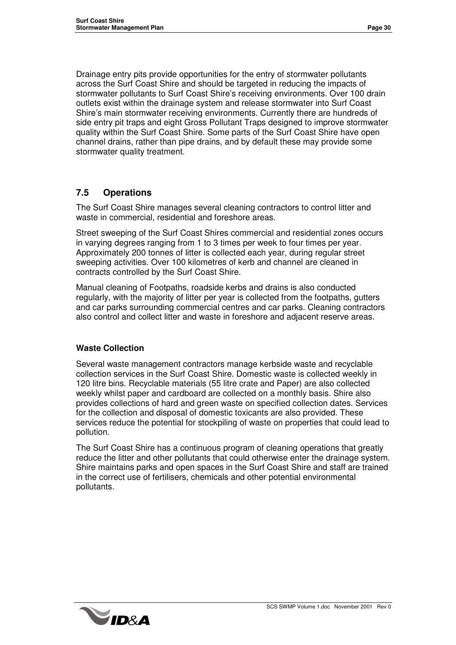Drainage entry pits provide opportunities for the entry of stormwater pollutants across the Surf Coast Shire and should be targeted in reducing the impacts of stormwater pollutants to Surf Coast Shire's receiving environments. Over 100 drain outlets exist within the drainage system and release stormwater into Surf Coast Shire's main stormwater receiving environments. Currently there are hundreds of side entry pit traps and eight Gross Pollutant Traps designed to improve stormwater quality within the Surf Coast Shire. Some parts of the Surf Coast Shire have open channel drains, rather than pipe drains, and by default these may provide some stormwater quality treatment.

#### **7.5 Operations**

The Surf Coast Shire manages several cleaning contractors to control litter and waste in commercial, residential and foreshore areas.

Street sweeping of the Surf Coast Shires commercial and residential zones occurs in varying degrees ranging from 1 to 3 times per week to four times per year. Approximately 200 tonnes of litter is collected each year, during regular street sweeping activities. Over 100 kilometres of kerb and channel are cleaned in contracts controlled by the Surf Coast Shire.

Manual cleaning of Footpaths, roadside kerbs and drains is also conducted regularly, with the majority of litter per year is collected from the footpaths, gutters and car parks surrounding commercial centres and car parks. Cleaning contractors also control and collect litter and waste in foreshore and adjacent reserve areas.

#### **Waste Collection**

Several waste management contractors manage kerbside waste and recyclable collection services in the Surf Coast Shire. Domestic waste is collected weekly in 120 litre bins. Recyclable materials (55 litre crate and Paper) are also collected weekly whilst paper and cardboard are collected on a monthly basis. Shire also provides collections of hard and green waste on specified collection dates. Services for the collection and disposal of domestic toxicants are also provided. These services reduce the potential for stockpiling of waste on properties that could lead to pollution.

The Surf Coast Shire has a continuous program of cleaning operations that greatly reduce the litter and other pollutants that could otherwise enter the drainage system. Shire maintains parks and open spaces in the Surf Coast Shire and staff are trained in the correct use of fertilisers, chemicals and other potential environmental pollutants.

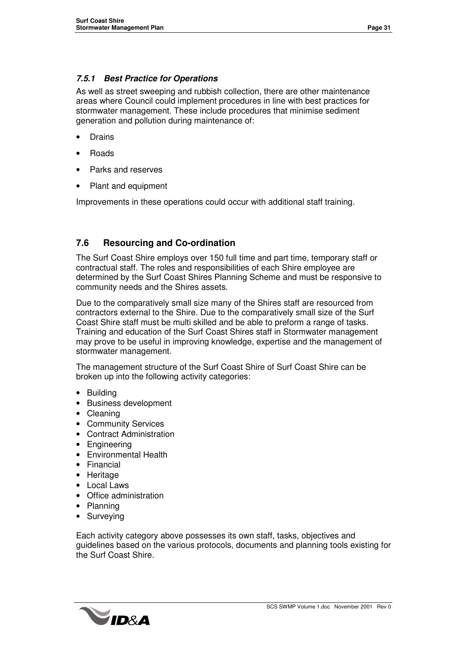#### *7.5.1 Best Practice for Operations*

As well as street sweeping and rubbish collection, there are other maintenance areas where Council could implement procedures in line with best practices for stormwater management. These include procedures that minimise sediment generation and pollution during maintenance of:

- **Drains**
- Roads
- Parks and reserves
- Plant and equipment

Improvements in these operations could occur with additional staff training.

#### **7.6 Resourcing and Co-ordination**

The Surf Coast Shire employs over 150 full time and part time, temporary staff or contractual staff. The roles and responsibilities of each Shire employee are determined by the Surf Coast Shires Planning Scheme and must be responsive to community needs and the Shires assets.

Due to the comparatively small size many of the Shires staff are resourced from contractors external to the Shire. Due to the comparatively small size of the Surf Coast Shire staff must be multi skilled and be able to preform a range of tasks. Training and education of the Surf Coast Shires staff in Stormwater management may prove to be useful in improving knowledge, expertise and the management of stormwater management.

The management structure of the Surf Coast Shire of Surf Coast Shire can be broken up into the following activity categories:

- Building
- Business development
- Cleaning
- Community Services
- Contract Administration
- Engineering
- Environmental Health
- Financial
- Heritage
- Local Laws
- Office administration
- Planning
- Surveying

Each activity category above possesses its own staff, tasks, objectives and guidelines based on the various protocols, documents and planning tools existing for the Surf Coast Shire.

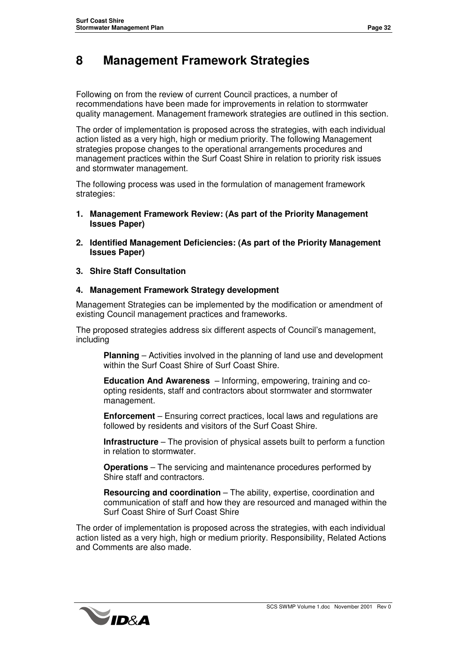### **8 Management Framework Strategies**

Following on from the review of current Council practices, a number of recommendations have been made for improvements in relation to stormwater quality management. Management framework strategies are outlined in this section.

The order of implementation is proposed across the strategies, with each individual action listed as a very high, high or medium priority. The following Management strategies propose changes to the operational arrangements procedures and management practices within the Surf Coast Shire in relation to priority risk issues and stormwater management.

The following process was used in the formulation of management framework strategies:

- **1. Management Framework Review: (As part of the Priority Management Issues Paper)**
- **2. Identified Management Deficiencies: (As part of the Priority Management Issues Paper)**
- **3. Shire Staff Consultation**

#### **4. Management Framework Strategy development**

Management Strategies can be implemented by the modification or amendment of existing Council management practices and frameworks.

The proposed strategies address six different aspects of Council's management, including

**Planning** – Activities involved in the planning of land use and development within the Surf Coast Shire of Surf Coast Shire.

**Education And Awareness** – Informing, empowering, training and coopting residents, staff and contractors about stormwater and stormwater management.

**Enforcement** – Ensuring correct practices, local laws and regulations are followed by residents and visitors of the Surf Coast Shire.

**Infrastructure** – The provision of physical assets built to perform a function in relation to stormwater.

**Operations** – The servicing and maintenance procedures performed by Shire staff and contractors.

**Resourcing and coordination** – The ability, expertise, coordination and communication of staff and how they are resourced and managed within the Surf Coast Shire of Surf Coast Shire

The order of implementation is proposed across the strategies, with each individual action listed as a very high, high or medium priority. Responsibility, Related Actions and Comments are also made.

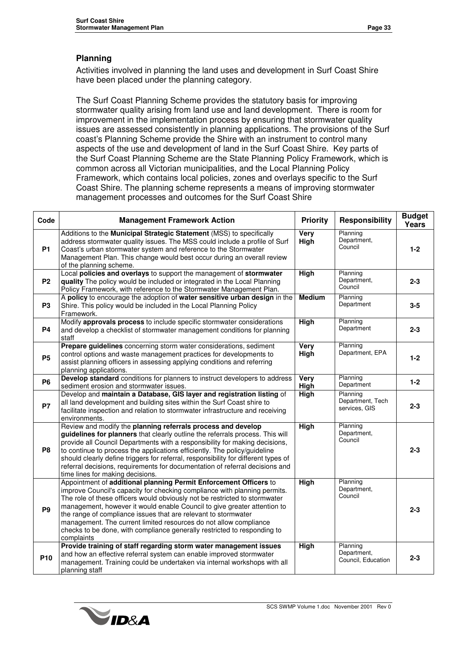#### **Planning**

Activities involved in planning the land uses and development in Surf Coast Shire have been placed under the planning category.

The Surf Coast Planning Scheme provides the statutory basis for improving stormwater quality arising from land use and land development. There is room for improvement in the implementation process by ensuring that stormwater quality issues are assessed consistently in planning applications. The provisions of the Surf coast's Planning Scheme provide the Shire with an instrument to control many aspects of the use and development of land in the Surf Coast Shire. Key parts of the Surf Coast Planning Scheme are the State Planning Policy Framework, which is common across all Victorian municipalities, and the Local Planning Policy Framework, which contains local policies, zones and overlays specific to the Surf Coast Shire. The planning scheme represents a means of improving stormwater management processes and outcomes for the Surf Coast Shire

| Code            | <b>Management Framework Action</b>                                                                                                                                                                                                                                                                                                                                                                                                                                                                                                        | <b>Priority</b> | <b>Responsibility</b>                         | <b>Budget</b><br>Years |
|-----------------|-------------------------------------------------------------------------------------------------------------------------------------------------------------------------------------------------------------------------------------------------------------------------------------------------------------------------------------------------------------------------------------------------------------------------------------------------------------------------------------------------------------------------------------------|-----------------|-----------------------------------------------|------------------------|
| <b>P1</b>       | Additions to the Municipal Strategic Statement (MSS) to specifically<br>address stormwater quality issues. The MSS could include a profile of Surf<br>Coast's urban stormwater system and reference to the Stormwater<br>Management Plan. This change would best occur during an overall review<br>of the planning scheme.                                                                                                                                                                                                                | Very<br>High    | Planning<br>Department,<br>Council            | $1 - 2$                |
| P <sub>2</sub>  | Local policies and overlays to support the management of stormwater<br>quality The policy would be included or integrated in the Local Planning<br>Policy Framework, with reference to the Stormwater Management Plan.                                                                                                                                                                                                                                                                                                                    | <b>High</b>     | Planning<br>Department,<br>Council            | $2 - 3$                |
| P <sub>3</sub>  | A policy to encourage the adoption of water sensitive urban design in the<br>Shire. This policy would be included in the Local Planning Policy<br>Framework.                                                                                                                                                                                                                                                                                                                                                                              | <b>Medium</b>   | Planning<br>Department                        | $3 - 5$                |
| <b>P4</b>       | Modify approvals process to include specific stormwater considerations<br>and develop a checklist of stormwater management conditions for planning<br>staff                                                                                                                                                                                                                                                                                                                                                                               | <b>High</b>     | Planning<br>Department                        | $2 - 3$                |
| <b>P5</b>       | Prepare guidelines concerning storm water considerations, sediment<br>control options and waste management practices for developments to<br>assist planning officers in assessing applying conditions and referring<br>planning applications.                                                                                                                                                                                                                                                                                             | Very<br>High    | Planning<br>Department, EPA                   | $1 - 2$                |
| <b>P6</b>       | Develop standard conditions for planners to instruct developers to address<br>sediment erosion and stormwater issues.                                                                                                                                                                                                                                                                                                                                                                                                                     | Very<br>High    | Planning<br>Department                        | $1 - 2$                |
| <b>P7</b>       | Develop and maintain a Database, GIS layer and registration listing of<br>all land development and building sites within the Surf Coast shire to<br>facilitate inspection and relation to stormwater infrastructure and receiving<br>environments.                                                                                                                                                                                                                                                                                        | <b>High</b>     | Planning<br>Department, Tech<br>services, GIS | $2 - 3$                |
| P <sub>8</sub>  | Review and modify the planning referrals process and develop<br>guidelines for planners that clearly outline the referrals process. This will<br>provide all Council Departments with a responsibility for making decisions,<br>to continue to process the applications efficiently. The policy/guideline<br>should clearly define triggers for referral, responsibility for different types of<br>referral decisions, requirements for documentation of referral decisions and<br>time lines for making decisions.                       | <b>High</b>     | Planning<br>Department,<br>Council            | $2 - 3$                |
| P <sub>9</sub>  | Appointment of additional planning Permit Enforcement Officers to<br>improve Council's capacity for checking compliance with planning permits.<br>The role of these officers would obviously not be restricted to stormwater<br>management, however it would enable Council to give greater attention to<br>the range of compliance issues that are relevant to stormwater<br>management. The current limited resources do not allow compliance<br>checks to be done, with compliance generally restricted to responding to<br>complaints | <b>High</b>     | Planning<br>Department,<br>Council            | $2 - 3$                |
| P <sub>10</sub> | Provide training of staff regarding storm water management issues<br>and how an effective referral system can enable improved stormwater<br>management. Training could be undertaken via internal workshops with all<br>planning staff                                                                                                                                                                                                                                                                                                    | <b>High</b>     | Planning<br>Department,<br>Council, Education | $2 - 3$                |

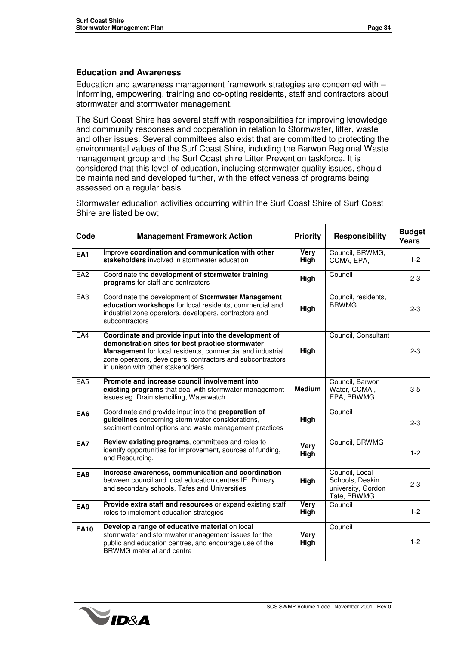#### **Education and Awareness**

Education and awareness management framework strategies are concerned with – Informing, empowering, training and co-opting residents, staff and contractors about stormwater and stormwater management.

The Surf Coast Shire has several staff with responsibilities for improving knowledge and community responses and cooperation in relation to Stormwater, litter, waste and other issues. Several committees also exist that are committed to protecting the environmental values of the Surf Coast Shire, including the Barwon Regional Waste management group and the Surf Coast shire Litter Prevention taskforce. It is considered that this level of education, including stormwater quality issues, should be maintained and developed further, with the effectiveness of programs being assessed on a regular basis.

Stormwater education activities occurring within the Surf Coast Shire of Surf Coast Shire are listed below;

| Code            | <b>Management Framework Action</b>                                                                                                                                                                                                                                        | <b>Priority</b>     | <b>Responsibility</b>                                                  | <b>Budget</b><br>Years |
|-----------------|---------------------------------------------------------------------------------------------------------------------------------------------------------------------------------------------------------------------------------------------------------------------------|---------------------|------------------------------------------------------------------------|------------------------|
| EA <sub>1</sub> | Improve coordination and communication with other<br>stakeholders involved in stormwater education                                                                                                                                                                        | Very<br>High        | Council, BRWMG,<br>CCMA, EPA,                                          | $1 - 2$                |
| EA <sub>2</sub> | Coordinate the development of stormwater training<br>programs for staff and contractors                                                                                                                                                                                   | High                | Council                                                                | $2 - 3$                |
| EA3             | Coordinate the development of Stormwater Management<br>education workshops for local residents, commercial and<br>industrial zone operators, developers, contractors and<br>subcontractors                                                                                | High                | Council, residents,<br>BRWMG.                                          | $2 - 3$                |
| EAA             | Coordinate and provide input into the development of<br>demonstration sites for best practice stormwater<br>Management for local residents, commercial and industrial<br>zone operators, developers, contractors and subcontractors<br>in unison with other stakeholders. | High                | Council, Consultant                                                    | $2 - 3$                |
| EA <sub>5</sub> | Promote and increase council involvement into<br>existing programs that deal with stormwater management<br>issues eg. Drain stencilling, Waterwatch                                                                                                                       | <b>Medium</b>       | Council, Barwon<br>Water, CCMA,<br>EPA, BRWMG                          | $3-5$                  |
| EA6             | Coordinate and provide input into the preparation of<br>guidelines concerning storm water considerations,<br>sediment control options and waste management practices                                                                                                      | High                | Council                                                                | $2 - 3$                |
| <b>EA7</b>      | Review existing programs, committees and roles to<br>identify opportunities for improvement, sources of funding,<br>and Resourcing.                                                                                                                                       | Very<br>High        | Council, BRWMG                                                         | $1-2$                  |
| EA8             | Increase awareness, communication and coordination<br>between council and local education centres IE. Primary<br>and secondary schools, Tafes and Universities                                                                                                            | High                | Council, Local<br>Schools, Deakin<br>university, Gordon<br>Tafe, BRWMG | $2 - 3$                |
| EA9             | Provide extra staff and resources or expand existing staff<br>roles to implement education strategies                                                                                                                                                                     | Very<br>High        | Council                                                                | $1 - 2$                |
| <b>EA10</b>     | Develop a range of educative material on local<br>stormwater and stormwater management issues for the<br>public and education centres, and encourage use of the<br>BRWMG material and centre                                                                              | <b>Very</b><br>High | Council                                                                | $1 - 2$                |

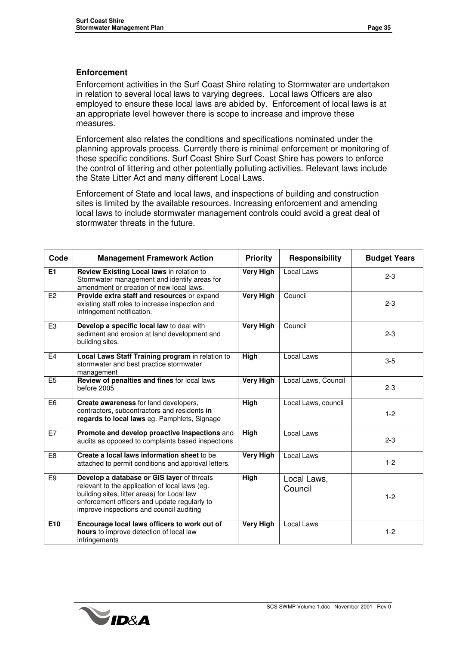#### **Enforcement**

Enforcement activities in the Surf Coast Shire relating to Stormwater are undertaken in relation to several local laws to varying degrees. Local laws Officers are also employed to ensure these local laws are abided by. Enforcement of local laws is at an appropriate level however there is scope to increase and improve these measures.

Enforcement also relates the conditions and specifications nominated under the planning approvals process. Currently there is minimal enforcement or monitoring of these specific conditions. Surf Coast Shire Surf Coast Shire has powers to enforce the control of littering and other potentially polluting activities. Relevant laws include the State Litter Act and many different Local Laws.

Enforcement of State and local laws, and inspections of building and construction sites is limited by the available resources. Increasing enforcement and amending local laws to include stormwater management controls could avoid a great deal of stormwater threats in the future.

| Code           | <b>Management Framework Action</b>                                                                                                                                                                                                      | <b>Priority</b>  | <b>Responsibility</b>  | <b>Budget Years</b> |
|----------------|-----------------------------------------------------------------------------------------------------------------------------------------------------------------------------------------------------------------------------------------|------------------|------------------------|---------------------|
| E1             | Review Existing Local laws in relation to<br>Stormwater management and identify areas for<br>amendment or creation of new local laws.                                                                                                   | <b>Very High</b> | Local Laws             | $2 - 3$             |
| E2             | Provide extra staff and resources or expand<br>existing staff roles to increase inspection and<br>infringement notification.                                                                                                            | <b>Very High</b> | Council                | $2 - 3$             |
| E <sub>3</sub> | Develop a specific local law to deal with<br>sediment and erosion at land development and<br>building sites.                                                                                                                            | <b>Very High</b> | Council                | $2 - 3$             |
| E4             | Local Laws Staff Training program in relation to<br>stormwater and best practice stormwater<br>management                                                                                                                               | <b>High</b>      | Local Laws             | $3-5$               |
| E <sub>5</sub> | Review of penalties and fines for local laws<br>before 2005                                                                                                                                                                             | <b>Very High</b> | Local Laws, Council    | $2 - 3$             |
| E <sub>6</sub> | Create awareness for land developers,<br>contractors, subcontractors and residents in<br>regards to local laws eg. Pamphlets, Signage                                                                                                   | <b>High</b>      | Local Laws, council    | $1 - 2$             |
| E7             | Promote and develop proactive Inspections and<br>audits as opposed to complaints based inspections                                                                                                                                      | High             | Local Laws             | $2 - 3$             |
| E <sub>8</sub> | Create a local laws information sheet to be<br>attached to permit conditions and approval letters.                                                                                                                                      | <b>Very High</b> | Local Laws             | $1 - 2$             |
| E <sub>9</sub> | Develop a database or GIS layer of threats<br>relevant to the application of local laws (eg.<br>building sites, litter areas) for Local law<br>enforcement officers and update regularly to<br>improve inspections and council auditing | <b>High</b>      | Local Laws,<br>Council | $1 - 2$             |
| E10            | Encourage local laws officers to work out of<br>hours to improve detection of local law<br>infringements                                                                                                                                | <b>Very High</b> | Local Laws             | $1 - 2$             |

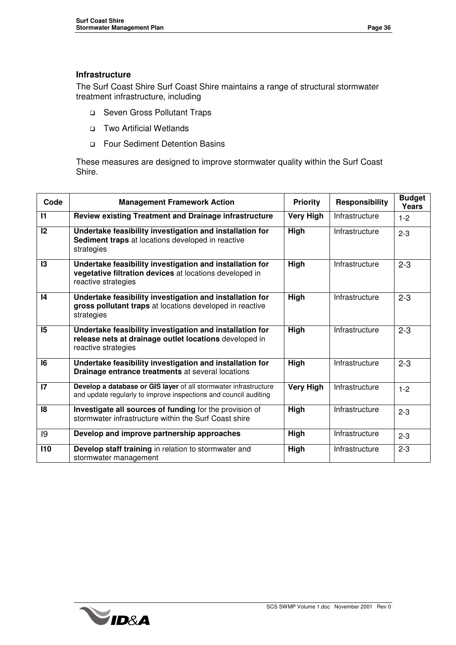#### **Infrastructure**

The Surf Coast Shire Surf Coast Shire maintains a range of structural stormwater treatment infrastructure, including

- □ Seven Gross Pollutant Traps
- Two Artificial Wetlands
- Four Sediment Detention Basins

These measures are designed to improve stormwater quality within the Surf Coast Shire.

| Code            | <b>Management Framework Action</b>                                                                                                         | <b>Priority</b>  | Responsibility | <b>Budget</b><br><b>Years</b> |
|-----------------|--------------------------------------------------------------------------------------------------------------------------------------------|------------------|----------------|-------------------------------|
| $\mathbf{I}$    | <b>Review existing Treatment and Drainage infrastructure</b>                                                                               | <b>Very High</b> | Infrastructure | $1 - 2$                       |
| 12              | Undertake feasibility investigation and installation for<br>Sediment traps at locations developed in reactive<br>strategies                | High             | Infrastructure | $2 - 3$                       |
| 13              | Undertake feasibility investigation and installation for<br>vegetative filtration devices at locations developed in<br>reactive strategies | High             | Infrastructure | $2 - 3$                       |
| $\overline{14}$ | Undertake feasibility investigation and installation for<br>gross pollutant traps at locations developed in reactive<br>strategies         | High             | Infrastructure | $2 - 3$                       |
| 15              | Undertake feasibility investigation and installation for<br>release nets at drainage outlet locations developed in<br>reactive strategies  | High             | Infrastructure | $2 - 3$                       |
| 16              | Undertake feasibility investigation and installation for<br>Drainage entrance treatments at several locations                              | High             | Infrastructure | $2 - 3$                       |
| $\mathsf{I}7$   | Develop a database or GIS layer of all stormwater infrastructure<br>and update regularly to improve inspections and council auditing       | <b>Very High</b> | Infrastructure | $1 - 2$                       |
| 18              | Investigate all sources of funding for the provision of<br>stormwater infrastructure within the Surf Coast shire                           | High             | Infrastructure | $2 - 3$                       |
| 19              | Develop and improve partnership approaches                                                                                                 | High             | Infrastructure | $2 - 3$                       |
| 110             | Develop staff training in relation to stormwater and<br>stormwater management                                                              | High             | Infrastructure | $2 - 3$                       |

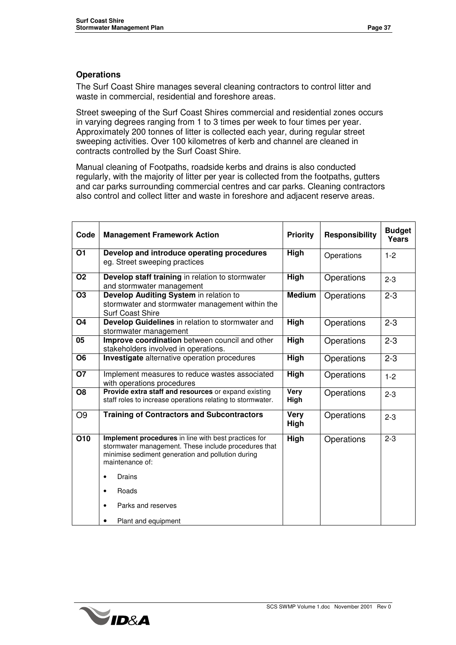#### **Operations**

The Surf Coast Shire manages several cleaning contractors to control litter and waste in commercial, residential and foreshore areas.

Street sweeping of the Surf Coast Shires commercial and residential zones occurs in varying degrees ranging from 1 to 3 times per week to four times per year. Approximately 200 tonnes of litter is collected each year, during regular street sweeping activities. Over 100 kilometres of kerb and channel are cleaned in contracts controlled by the Surf Coast Shire.

Manual cleaning of Footpaths, roadside kerbs and drains is also conducted regularly, with the majority of litter per year is collected from the footpaths, gutters and car parks surrounding commercial centres and car parks. Cleaning contractors also control and collect litter and waste in foreshore and adjacent reserve areas.

| Code             | <b>Management Framework Action</b>                                                                                                                                                                                                                                     | <b>Priority</b>     | <b>Responsibility</b> | <b>Budget</b><br>Years |
|------------------|------------------------------------------------------------------------------------------------------------------------------------------------------------------------------------------------------------------------------------------------------------------------|---------------------|-----------------------|------------------------|
| 01               | Develop and introduce operating procedures<br>eg. Street sweeping practices                                                                                                                                                                                            | High                | Operations            | $1 - 2$                |
| <b>O2</b>        | Develop staff training in relation to stormwater<br>and stormwater management                                                                                                                                                                                          | High                | Operations            | $2 - 3$                |
| <b>O3</b>        | Develop Auditing System in relation to<br>stormwater and stormwater management within the<br><b>Surf Coast Shire</b>                                                                                                                                                   | <b>Medium</b>       | Operations            | $2 - 3$                |
| O <sub>4</sub>   | Develop Guidelines in relation to stormwater and<br>stormwater management                                                                                                                                                                                              | <b>High</b>         | Operations            | $2 - 3$                |
| 05               | Improve coordination between council and other<br>stakeholders involved in operations.                                                                                                                                                                                 | High                | Operations            | $2 - 3$                |
| O <sub>6</sub>   | Investigate alternative operation procedures                                                                                                                                                                                                                           | High                | Operations            | $2 - 3$                |
| <b>O7</b>        | Implement measures to reduce wastes associated<br>with operations procedures                                                                                                                                                                                           | High                | Operations            | $1 - 2$                |
| O <sub>8</sub>   | Provide extra staff and resources or expand existing<br>staff roles to increase operations relating to stormwater.                                                                                                                                                     | <b>Very</b><br>High | Operations            | $2 - 3$                |
| O <sub>9</sub>   | <b>Training of Contractors and Subcontractors</b>                                                                                                                                                                                                                      | <b>Very</b><br>High | Operations            | $2 - 3$                |
| $\overline{O10}$ | Implement procedures in line with best practices for<br>stormwater management. These include procedures that<br>minimise sediment generation and pollution during<br>maintenance of:<br>Drains<br>٠<br>Roads<br>Parks and reserves<br>$\bullet$<br>Plant and equipment | High                | Operations            | $2 - 3$                |

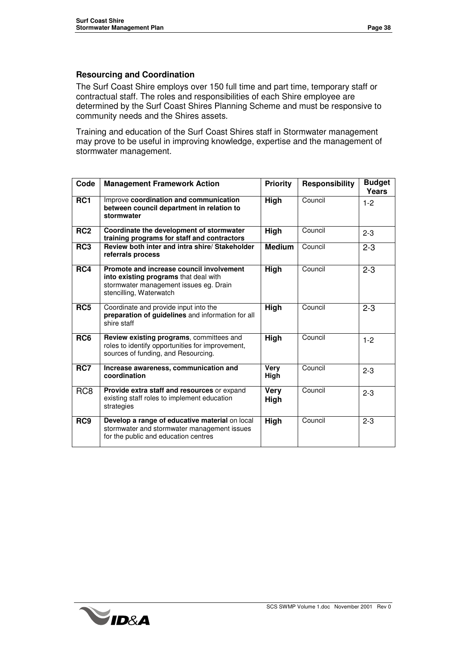#### **Resourcing and Coordination**

The Surf Coast Shire employs over 150 full time and part time, temporary staff or contractual staff. The roles and responsibilities of each Shire employee are determined by the Surf Coast Shires Planning Scheme and must be responsive to community needs and the Shires assets.

Training and education of the Surf Coast Shires staff in Stormwater management may prove to be useful in improving knowledge, expertise and the management of stormwater management.

| Code            | <b>Management Framework Action</b>                                                                                                                     | <b>Priority</b> | <b>Responsibility</b> | <b>Budget</b><br><b>Years</b> |
|-----------------|--------------------------------------------------------------------------------------------------------------------------------------------------------|-----------------|-----------------------|-------------------------------|
| RC <sub>1</sub> | Improve coordination and communication<br>between council department in relation to<br>stormwater                                                      | High            | Council               | $1 - 2$                       |
| RC <sub>2</sub> | Coordinate the development of stormwater<br>training programs for staff and contractors                                                                | High            | Council               | $2 - 3$                       |
| RC <sub>3</sub> | Review both inter and intra shire/ Stakeholder<br>referrals process                                                                                    | <b>Medium</b>   | Council               | $2 - 3$                       |
| RC4             | Promote and increase council involvement<br>into existing programs that deal with<br>stormwater management issues eg. Drain<br>stencilling, Waterwatch | High            | Council               | $2 - 3$                       |
| RC5             | Coordinate and provide input into the<br>preparation of guidelines and information for all<br>shire staff                                              | High            | Council               | $2 - 3$                       |
| RC <sub>6</sub> | Review existing programs, committees and<br>roles to identify opportunities for improvement,<br>sources of funding, and Resourcing.                    | High            | Council               | $1-2$                         |
| RC7             | Increase awareness, communication and<br>coordination                                                                                                  | Very<br>High    | Council               | $2 - 3$                       |
| RC <sub>8</sub> | Provide extra staff and resources or expand<br>existing staff roles to implement education<br>strategies                                               | Very<br>High    | Council               | $2 - 3$                       |
| RC9             | Develop a range of educative material on local<br>stormwater and stormwater management issues<br>for the public and education centres                  | High            | Council               | $2 - 3$                       |

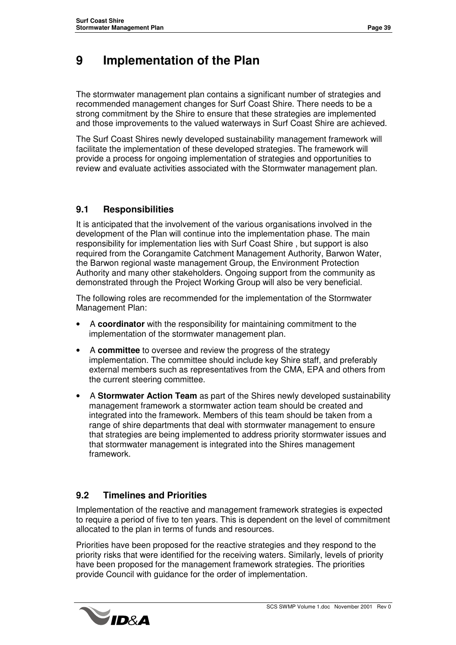### **9 Implementation of the Plan**

The stormwater management plan contains a significant number of strategies and recommended management changes for Surf Coast Shire. There needs to be a strong commitment by the Shire to ensure that these strategies are implemented and those improvements to the valued waterways in Surf Coast Shire are achieved.

The Surf Coast Shires newly developed sustainability management framework will facilitate the implementation of these developed strategies. The framework will provide a process for ongoing implementation of strategies and opportunities to review and evaluate activities associated with the Stormwater management plan.

#### **9.1 Responsibilities**

It is anticipated that the involvement of the various organisations involved in the development of the Plan will continue into the implementation phase. The main responsibility for implementation lies with Surf Coast Shire , but support is also required from the Corangamite Catchment Management Authority, Barwon Water, the Barwon regional waste management Group, the Environment Protection Authority and many other stakeholders. Ongoing support from the community as demonstrated through the Project Working Group will also be very beneficial.

The following roles are recommended for the implementation of the Stormwater Management Plan:

- A **coordinator** with the responsibility for maintaining commitment to the implementation of the stormwater management plan.
- A **committee** to oversee and review the progress of the strategy implementation. The committee should include key Shire staff, and preferably external members such as representatives from the CMA, EPA and others from the current steering committee.
- A **Stormwater Action Team** as part of the Shires newly developed sustainability management framework a stormwater action team should be created and integrated into the framework. Members of this team should be taken from a range of shire departments that deal with stormwater management to ensure that strategies are being implemented to address priority stormwater issues and that stormwater management is integrated into the Shires management framework.

#### **9.2 Timelines and Priorities**

Implementation of the reactive and management framework strategies is expected to require a period of five to ten years. This is dependent on the level of commitment allocated to the plan in terms of funds and resources.

Priorities have been proposed for the reactive strategies and they respond to the priority risks that were identified for the receiving waters. Similarly, levels of priority have been proposed for the management framework strategies. The priorities provide Council with guidance for the order of implementation.

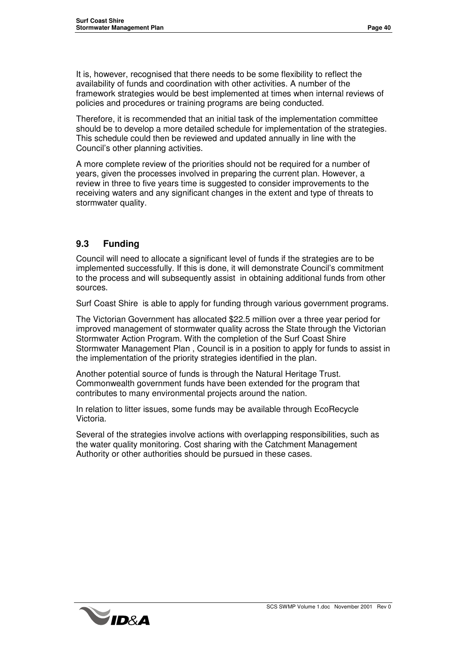It is, however, recognised that there needs to be some flexibility to reflect the availability of funds and coordination with other activities. A number of the framework strategies would be best implemented at times when internal reviews of policies and procedures or training programs are being conducted.

Therefore, it is recommended that an initial task of the implementation committee should be to develop a more detailed schedule for implementation of the strategies. This schedule could then be reviewed and updated annually in line with the Council's other planning activities.

A more complete review of the priorities should not be required for a number of years, given the processes involved in preparing the current plan. However, a review in three to five years time is suggested to consider improvements to the receiving waters and any significant changes in the extent and type of threats to stormwater quality.

#### **9.3 Funding**

Council will need to allocate a significant level of funds if the strategies are to be implemented successfully. If this is done, it will demonstrate Council's commitment to the process and will subsequently assist in obtaining additional funds from other sources.

Surf Coast Shire is able to apply for funding through various government programs.

The Victorian Government has allocated \$22.5 million over a three year period for improved management of stormwater quality across the State through the Victorian Stormwater Action Program. With the completion of the Surf Coast Shire Stormwater Management Plan , Council is in a position to apply for funds to assist in the implementation of the priority strategies identified in the plan.

Another potential source of funds is through the Natural Heritage Trust. Commonwealth government funds have been extended for the program that contributes to many environmental projects around the nation.

In relation to litter issues, some funds may be available through EcoRecycle Victoria.

Several of the strategies involve actions with overlapping responsibilities, such as the water quality monitoring. Cost sharing with the Catchment Management Authority or other authorities should be pursued in these cases.

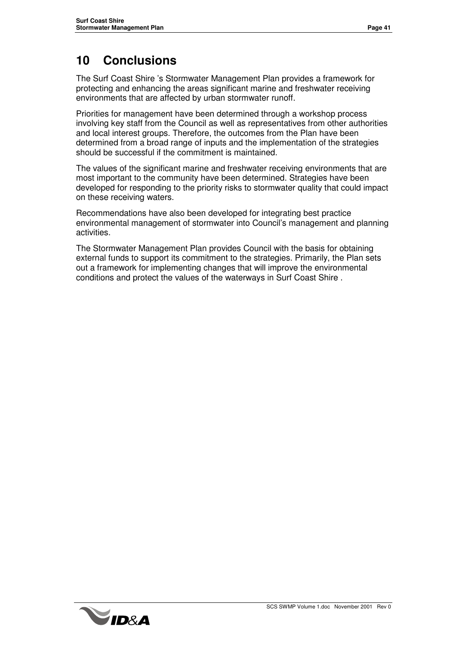### **10 Conclusions**

The Surf Coast Shire 's Stormwater Management Plan provides a framework for protecting and enhancing the areas significant marine and freshwater receiving environments that are affected by urban stormwater runoff.

Priorities for management have been determined through a workshop process involving key staff from the Council as well as representatives from other authorities and local interest groups. Therefore, the outcomes from the Plan have been determined from a broad range of inputs and the implementation of the strategies should be successful if the commitment is maintained.

The values of the significant marine and freshwater receiving environments that are most important to the community have been determined. Strategies have been developed for responding to the priority risks to stormwater quality that could impact on these receiving waters.

Recommendations have also been developed for integrating best practice environmental management of stormwater into Council's management and planning activities.

The Stormwater Management Plan provides Council with the basis for obtaining external funds to support its commitment to the strategies. Primarily, the Plan sets out a framework for implementing changes that will improve the environmental conditions and protect the values of the waterways in Surf Coast Shire .

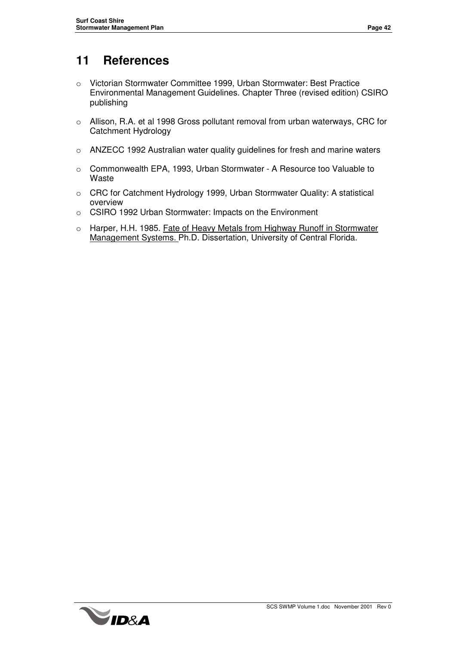### **11 References**

- o Victorian Stormwater Committee 1999, Urban Stormwater: Best Practice Environmental Management Guidelines. Chapter Three (revised edition) CSIRO publishing
- o Allison, R.A. et al 1998 Gross pollutant removal from urban waterways, CRC for Catchment Hydrology
- o ANZECC 1992 Australian water quality guidelines for fresh and marine waters
- o Commonwealth EPA, 1993, Urban Stormwater A Resource too Valuable to Waste
- o CRC for Catchment Hydrology 1999, Urban Stormwater Quality: A statistical overview
- o CSIRO 1992 Urban Stormwater: Impacts on the Environment
- o Harper, H.H. 1985. Fate of Heavy Metals from Highway Runoff in Stormwater Management Systems. Ph.D. Dissertation, University of Central Florida.